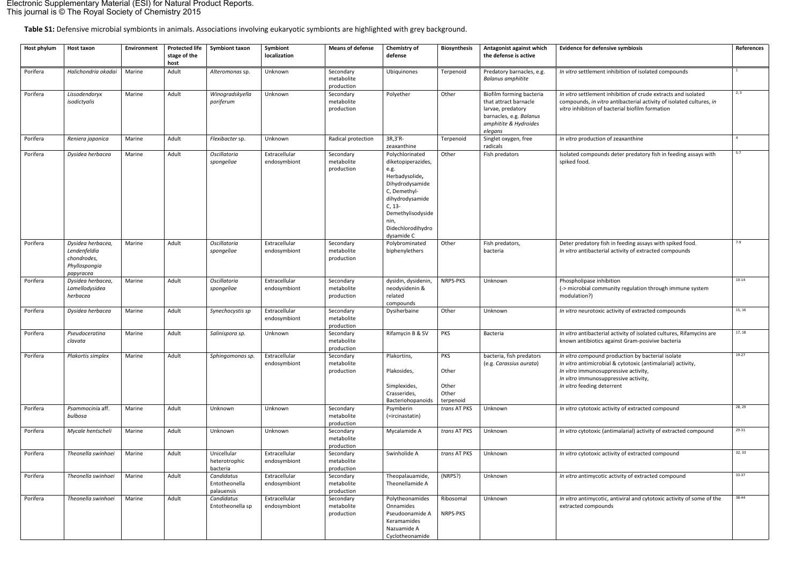**Table S1:** Defensive microbial symbionts in animals. Associations involving eukaryotic symbionts are highlighted with grey background.

| <b>Host phylum</b> | Host taxon                                                                     | <b>Environment</b> | <b>Protected life</b><br>stage of the<br>host | <b>Symbiont taxon</b>                     | Symbiont<br>localization      | <b>Means of defense</b>               | Chemistry of<br>defense                                                                                                                                                                           | <b>Biosynthesis</b>                                | Antagonist against which<br>the defense is active                                                                                     | <b>Evidence for defensive symbiosis</b>                                                                                                                                                                                        | References     |
|--------------------|--------------------------------------------------------------------------------|--------------------|-----------------------------------------------|-------------------------------------------|-------------------------------|---------------------------------------|---------------------------------------------------------------------------------------------------------------------------------------------------------------------------------------------------|----------------------------------------------------|---------------------------------------------------------------------------------------------------------------------------------------|--------------------------------------------------------------------------------------------------------------------------------------------------------------------------------------------------------------------------------|----------------|
| Porifera           | Halichondria okadai                                                            | Marine             | Adult                                         | Alteromonas sp.                           | Unknown                       | Secondary<br>metabolite<br>production | Ubiquinones                                                                                                                                                                                       | Terpenoid                                          | Predatory barnacles, e.g.<br><b>Balanus amphitite</b>                                                                                 | In vitro settlement inhibition of isolated compounds                                                                                                                                                                           | $\overline{1}$ |
| Porifera           | Lissodendoryx<br>isodictyalis                                                  | Marine             | Adult                                         | Winogradskyella<br>poriferum              | Unknown                       | Secondary<br>metabolite<br>production | Polyether                                                                                                                                                                                         | Other                                              | Biofilm forming bacteria<br>that attract barnacle<br>larvae, predatory<br>barnacles, e.g. Balanus<br>amphitite & Hydroides<br>elegans | In vitro settlement inhibition of crude extracts and isolated<br>compounds, in vitro antibacterial activity of isolated cultures, in<br>vitro inhibition of bacterial biofilm formation                                        | 2, 3           |
| Porifera           | Reniera japonica                                                               | Marine             | Adult                                         | Flexibacter sp.                           | Unknown                       | Radical protection                    | $3R,3'R-$<br>zeaxanthine                                                                                                                                                                          | Terpenoid                                          | Singlet oxygen, free<br>radicals                                                                                                      | In vitro production of zeaxanthine                                                                                                                                                                                             |                |
| Porifera           | Dysidea herbacea                                                               | Marine             | Adult                                         | Oscillatoria<br>spongeliae                | Extracellular<br>endosymbiont | Secondary<br>metabolite<br>production | Polychlorinated<br>diketopiperazides,<br>e.g.<br>Herbadysolide,<br>Dihydrodysamide<br>C, Demethyl-<br>dihydrodysamide<br>$C, 13-$<br>Demethylisodyside<br>nin,<br>Didechlorodihydro<br>dysamide C | Other                                              | Fish predators                                                                                                                        | Isolated compounds deter predatory fish in feeding assays with<br>spiked food.                                                                                                                                                 | $5 - 7$        |
| Porifera           | Dysidea herbacea,<br>Lendenfeldia<br>chondrodes,<br>Phyllospongia<br>papyracea | Marine             | Adult                                         | Oscillatoria<br>spongeliae                | Extracellular<br>endosymbiont | Secondary<br>metabolite<br>production | Polybrominated<br>biphenylethers                                                                                                                                                                  | Other                                              | Fish predators,<br>bacteria                                                                                                           | Deter predatory fish in feeding assays with spiked food.<br>In vitro antibacterial activity of extracted compounds                                                                                                             | $7 - 9$        |
| Porifera           | Dysidea herbacea,<br>Lamellodysidea<br>herbacea                                | Marine             | Adult                                         | Oscillatoria<br>spongeliae                | Extracellular<br>endosymbiont | Secondary<br>metabolite<br>production | dysidin, dysidenin,<br>neodysidenin &<br>related<br>compounds                                                                                                                                     | NRPS-PKS                                           | Unknown                                                                                                                               | Phospholipase inhibition<br>(-> microbial community regulation through immune system<br>modulation?)                                                                                                                           | $10 - 14$      |
| Porifera           | Dysidea herbacea                                                               | Marine             | Adult                                         | Synechocystis sp                          | Extracellular<br>endosymbiont | Secondary<br>metabolite<br>production | Dysiherbaine                                                                                                                                                                                      | Other                                              | Unknown                                                                                                                               | In vitro neurotoxic activity of extracted compounds                                                                                                                                                                            | 15, 16         |
| Porifera           | Pseudoceratina<br>clavata                                                      | Marine             | Adult                                         | Salinispora sp.                           | Unknown                       | Secondary<br>metabolite<br>production | Rifamycin B & SV                                                                                                                                                                                  | PKS                                                | Bacteria                                                                                                                              | In vitro antibacterial activity of isolated cultures, Rifamycins are<br>known antibiotics against Gram-posivive bacteria                                                                                                       | 17, 18         |
| Porifera           | Plakortis simplex                                                              | Marine             | Adult                                         | Sphingomonas sp.                          | Extracellular<br>endosymbiont | Secondary<br>metabolite<br>production | Plakortins,<br>Plakosides,<br>Simplexides,<br>Crasserides,<br>Bacteriohopanoids                                                                                                                   | <b>PKS</b><br>Other<br>Other<br>Other<br>terpenoid | bacteria, fish predators<br>(e.g. Carassius aurata)                                                                                   | In vitro compound production by bacterial isolate<br>In vitro antimicrobial & cytotoxic (antimalarial) activity,<br>In vitro immunosuppressive activity,<br>In vitro immunosuppressive activity,<br>In vitro feeding deterrent | 19-27          |
| Porifera           | Psammocinia aff.<br>bulbosa                                                    | Marine             | Adult                                         | Unknown                                   | Unknown                       | Secondary<br>metabolite<br>production | Psymberin<br>(=ircinastatin)                                                                                                                                                                      | trans AT PKS                                       | Unknown                                                                                                                               | In vitro cytotoxic activity of extracted compound                                                                                                                                                                              | 28, 29         |
| Porifera           | Mycale hentscheli                                                              | Marine             | Adult                                         | Unknown                                   | Unknown                       | Secondary<br>metabolite<br>production | Mycalamide A                                                                                                                                                                                      | trans AT PKS                                       | Unknown                                                                                                                               | In vitro cytotoxic (antimalarial) activity of extracted compound                                                                                                                                                               | 29-31          |
| Porifera           | Theonella swinhoei                                                             | Marine             | Adult                                         | Unicellular<br>heterotrophic<br>bacteria  | Extracellular<br>endosymbiont | Secondary<br>metabolite<br>production | Swinholide A                                                                                                                                                                                      | trans AT PKS                                       | Unknown                                                                                                                               | In vitro cytotoxic activity of extracted compound                                                                                                                                                                              | 32, 33         |
| Porifera           | Theonella swinhoei                                                             | Marine             | Adult                                         | Candidatus<br>Entotheonella<br>palauensis | Extracellular<br>endosymbiont | Secondary<br>metabolite<br>production | Theopalauamide,<br>Theonellamide A                                                                                                                                                                | (NRPS?)                                            | Unknown                                                                                                                               | In vitro antimycotic activity of extracted compound                                                                                                                                                                            | 33-37          |
| Porifera           | Theonella swinhoei                                                             | Marine             | Adult                                         | Candidatus<br>Entotheonella sp            | Extracellular<br>endosymbiont | Secondary<br>metabolite<br>production | Polytheonamides<br>Onnamides<br>Pseudoonamide A<br>Keramamides<br>Nazuamide A<br>Cyclotheonamide                                                                                                  | Ribosomal<br>NRPS-PKS                              | Unknown                                                                                                                               | In vitro antimycotic, antiviral and cytotoxic activity of some of the<br>extracted compounds                                                                                                                                   | 38-44          |

## Electronic Supplementary Material (ESI) for Natural Product Reports. This journal is © The Royal Society of Chemistry 2015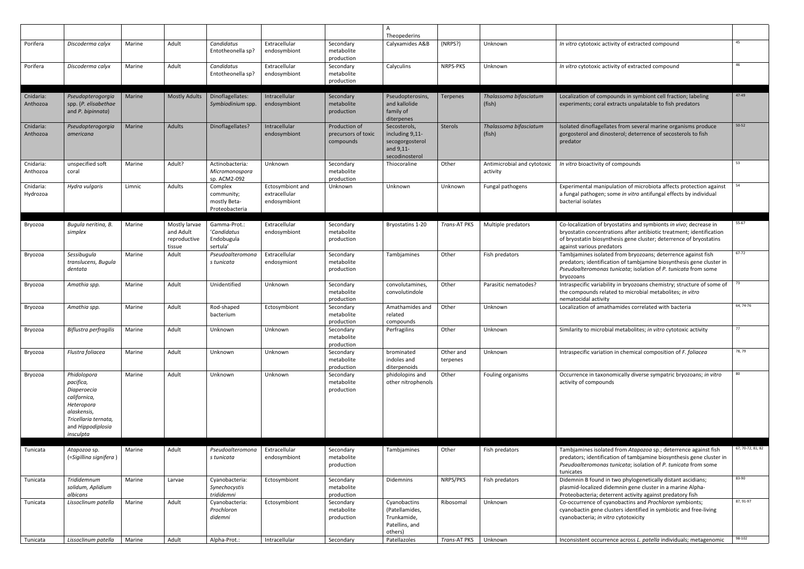|                       |                                                                                                                                                |        |                                                      |                                                         |                                                   |                                                   | $\overline{A}$<br>Theopederins                                                    |                       |                                         |                                                                                                                                                                                                                                              |                   |
|-----------------------|------------------------------------------------------------------------------------------------------------------------------------------------|--------|------------------------------------------------------|---------------------------------------------------------|---------------------------------------------------|---------------------------------------------------|-----------------------------------------------------------------------------------|-----------------------|-----------------------------------------|----------------------------------------------------------------------------------------------------------------------------------------------------------------------------------------------------------------------------------------------|-------------------|
| Porifera              | Discoderma calyx                                                                                                                               | Marine | Adult                                                | Candidatus<br>Entotheonella sp?                         | Extracellular<br>endosymbiont                     | Secondary<br>metabolite<br>production             | Calyxamides A&B                                                                   | (NRPS?)               | Unknown                                 | In vitro cytotoxic activity of extracted compound                                                                                                                                                                                            | 45                |
| Porifera              | Discoderma calyx                                                                                                                               | Marine | Adult                                                | Candidatus<br>Entotheonella sp?                         | Extracellular<br>endosymbiont                     | Secondary<br>metabolite<br>production             | Calyculins                                                                        | NRPS-PKS              | Unknown                                 | In vitro cytotoxic activity of extracted compound                                                                                                                                                                                            | 46                |
| Cnidaria:<br>Anthozoa | Pseudopterogorgia<br>spp. (P. elisabethae<br>and P. bipinnata)                                                                                 | Marine | <b>Mostly Adults</b>                                 | Dinoflagellates:<br>Symbiodinium spp.                   | Intracellular<br>endosymbiont                     | Secondary<br>metabolite<br>production             | Pseudopterosins,<br>and kallolide<br>family of<br>diterpenes                      | <b>Terpenes</b>       | Thalassoma bifasciatum<br>(fish)        | Localization of compounds in symbiont cell fraction; labeling<br>experiments; coral extracts unpalatable to fish predators                                                                                                                   | 47-49             |
| Cnidaria:<br>Anthozoa | Pseudopterogorgia<br>americana                                                                                                                 | Marine | Adults                                               | Dinoflagellates?                                        | Intracellular<br>endosymbiont                     | Production of<br>precursors of toxic<br>compounds | Secosterols,<br>including 9,11-<br>secogorgosterol<br>and 9,11-<br>secodinosterol | <b>Sterols</b>        | Thalassoma bifasciatum<br>(fish)        | Isolated dinoflagellates from several marine organisms produce<br>gorgosterol and dinosterol; deterrence of secosterols to fish<br>predator                                                                                                  | $50 - 52$         |
| Cnidaria:<br>Anthozoa | unspecified soft<br>coral                                                                                                                      | Marine | Adult?                                               | Actinobacteria:<br>Micromonospora<br>sp. ACM2-092       | Unknown                                           | Secondary<br>metabolite<br>production             | Thiocoraline                                                                      | Other                 | Antimicrobial and cytotoxic<br>activity | In vitro bioactivity of compounds                                                                                                                                                                                                            | 53                |
| Cnidaria:<br>Hydrozoa | Hydra vulgaris                                                                                                                                 | Limnic | Adults                                               | Complex<br>community;<br>mostly Beta-<br>Proteobacteria | Ectosymbiont and<br>extracellular<br>endosymbiont | Unknown                                           | Unknown                                                                           | Unknown               | Fungal pathogens                        | Experimental manipulation of microbiota affects protection against<br>a fungal pathogen; some in vitro antifungal effects by individual<br>bacterial isolates                                                                                | 54                |
| Bryozoa               | Bugula neritina, B.<br>simplex                                                                                                                 | Marine | Mostly larvae<br>and Adult<br>reproductive<br>tissue | Gamma-Prot.:<br>'Candidatus<br>Endobugula<br>sertula'   | Extracellular<br>endosymbiont                     | Secondary<br>metabolite<br>production             | Bryostatins 1-20                                                                  | Trans-AT PKS          | Multiple predators                      | Co-localization of bryostatins and symbionts in vivo; decrease in<br>bryostatin concentrations after antibiotic treatment; identification<br>of bryostatin biosynthesis gene cluster; deterrence of bryostatins<br>against various predators | 55-67             |
| Bryozoa               | Sessibugula<br>translucens, Bugula<br>dentata                                                                                                  | Marine | Adult                                                | Pseudoalteromona<br>s tunicata                          | Extracellular<br>endosymiont                      | Secondary<br>metabolite<br>production             | Tambjamines                                                                       | Other                 | Fish predators                          | Tambjamines isolated from bryozoans; deterrence against fish<br>predators; identification of tambjamine biosynthesis gene cluster in<br>Pseudoalteromonas tunicata; isolation of P. tunicata from some<br>bryozoans                          | 67-72             |
| Bryozoa               | Amathia spp.                                                                                                                                   | Marine | Adult                                                | Unidentified                                            | Unknown                                           | Secondary<br>metabolite<br>production             | convolutamines,<br>convolutindole                                                 | Other                 | Parasitic nematodes?                    | Intraspecific variability in bryozoans chemistry; structure of some of<br>the compounds related to microbial metabolites; in vitro<br>nematocidal activity                                                                                   | 73                |
| Bryozoa               | Amathia spp.                                                                                                                                   | Marine | Adult                                                | Rod-shaped<br>bacterium                                 | Ectosymbiont                                      | Secondary<br>metabolite<br>production             | Amathamides and<br>related<br>compounds                                           | Other                 | Unknown                                 | Localization of amathamides correlated with bacteria                                                                                                                                                                                         | 64, 74-76         |
| Bryozoa               | Biflustra perfragilis                                                                                                                          | Marine | Adult                                                | Unknown                                                 | Unknown                                           | Secondary<br>metabolite<br>production             | Perfragilins                                                                      | Other                 | Unknown                                 | Similarity to microbial metabolites; in vitro cytotoxic activity                                                                                                                                                                             | -77               |
| Bryozoa               | Flustra foliacea                                                                                                                               | Marine | Adult                                                | Unknown                                                 | Unknown                                           | Secondary<br>metabolite<br>production             | brominated<br>indoles and<br>diterpenoids                                         | Other and<br>terpenes | Unknown                                 | Intraspecific variation in chemical composition of F. foliacea                                                                                                                                                                               | 78, 79            |
| Bryozoa               | Phidolopora<br>pacifica,<br>Diaperoecia<br>californica,<br>Heteropora<br>alaskensis,<br>Tricellaria ternata,<br>and Hippodiplosia<br>insculpta | Marine | Adult                                                | Unknown                                                 | Unknown                                           | Secondary<br>metabolite<br>production             | phidolopins and<br>other nitrophenols                                             | Other                 | Fouling organisms                       | Occurrence in taxonomically diverse sympatric bryozoans; in vitro<br>activity of compounds                                                                                                                                                   | 80                |
| Tunicata              | Atapozoa sp.<br>(=Sigillina signifera)                                                                                                         | Marine | Adult                                                | Pseudoalteromona<br>s tunicata                          | Extracellular<br>endosymbiont                     | Secondary<br>metabolite<br>production             | Tambjamines                                                                       | Other                 | Fish predators                          | Tambjamines isolated from Atapozoa sp.; deterrence against fish<br>predators; identification of tambjamine biosynthesis gene cluster in<br>Pseudoalteromonas tunicata; isolation of P. tunicata from some<br>tunicates                       | 67, 70-72, 81, 82 |
| Tunicata              | Trididemnum<br>solidum, Aplidium<br>albicans                                                                                                   | Marine | Larvae                                               | Cyanobacteria:<br>Synechocystis<br>trididemni           | Ectosymbiont                                      | Secondary<br>metabolite<br>production             | Didemnins                                                                         | NRPS/PKS              | Fish predators                          | Didemnin B found in two phylogenetically distant ascidians;<br>plasmid-localized didemnin gene cluster in a marine Alpha-<br>Proteobacteria; deterrent activity against predatory fish                                                       | 83-90             |
| Tunicata              | Lissoclinum patella                                                                                                                            | Marine | Adult                                                | Cyanobacteria:<br>Prochloron<br>didemni                 | Ectosymbiont                                      | Secondary<br>metabolite<br>production             | Cyanobactins<br>(Patellamides,<br>Trunkamide,<br>Patellins, and<br>others)        | Ribosomal             | Unknown                                 | Co-occurrence of cyanobactins and Prochloron symbionts;<br>cyanobactin gene clusters identified in symbiotic and free-living<br>cyanobacteria; in vitro cytotoxicity                                                                         | 87, 91-97         |
| Tunicata              | Lissoclinum patella                                                                                                                            | Marine | Adult                                                | Alpha-Prot.:                                            | Intracellular                                     | Secondary                                         | Patellazoles                                                                      | Trans-AT PKS          | Unknown                                 | Inconsistent occurrence across L. patella individuals; metagenomic                                                                                                                                                                           | 98-102            |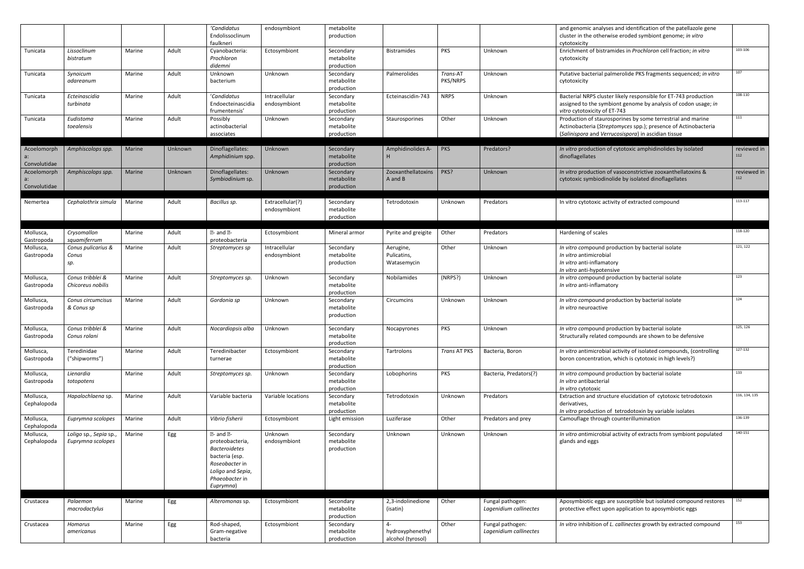|                             |                                             |               |         | 'Candidatus<br>Endolissoclinum<br>faulkneri                                                                                                                          | endosymbiont                     | metabolite<br>production              |                                               |                      |                                            | and genomic analyses and identification of the patellazole gene<br>cluster in the otherwise eroded symbiont genome; in vitro<br>cytotoxicity                                         |                    |
|-----------------------------|---------------------------------------------|---------------|---------|----------------------------------------------------------------------------------------------------------------------------------------------------------------------|----------------------------------|---------------------------------------|-----------------------------------------------|----------------------|--------------------------------------------|--------------------------------------------------------------------------------------------------------------------------------------------------------------------------------------|--------------------|
| Tunicata                    | Lissoclinum<br>bistratum                    | Marine        | Adult   | Cyanobacteria:<br>Prochloron<br>didemni                                                                                                                              | Ectosymbiont                     | Secondary<br>metabolite<br>production | <b>Bistramides</b>                            | <b>PKS</b>           | Unknown                                    | Enrichment of bistramides in Prochloron cell fraction; in vitro<br>cytotoxicity                                                                                                      | 103-106            |
| Tunicata                    | Synoicum<br>adareanum                       | Marine        | Adult   | Unknown<br>bacterium                                                                                                                                                 | Unknown                          | Secondary<br>metabolite<br>production | Palmerolides                                  | Trans-AT<br>PKS/NRPS | Unknown                                    | Putative bacterial palmerolide PKS fragments sequenced; in vitro<br>cytotoxicity                                                                                                     | 107                |
| Tunicata                    | Ecteinascidia<br>turbinata                  | Marine        | Adult   | 'Candidatus<br>Endoecteinascidia<br>frumentensis'                                                                                                                    | Intracellular<br>endosymbiont    | Secondary<br>metabolite<br>production | Ecteinascidin-743                             | <b>NRPS</b>          | Unknown                                    | Bacterial NRPS cluster likely responsible for ET-743 production<br>assigned to the symbiont genome by analysis of codon usage; in<br>vitro cytotoxicity of ET-743                    | 108-110            |
| Tunicata                    | Eudistoma<br>toealensis                     | Marine        | Adult   | Possibly<br>actinobacterial<br>associates                                                                                                                            | Unknown                          | Secondary<br>metabolite<br>production | Staurosporines                                | Other                | Unknown                                    | Production of staurosporines by some terrestrial and marine<br>Actinobacteria (Streptomyces spp.); presence of Actinobacteria<br>(Salinispora and Verrucosispora) in ascidian tissue | 111                |
| Acoelomorph<br>Convolutidae | Amphiscolops spp.                           | <b>Marine</b> | Unknown | Dinoflagellates:<br>Amphidinium spp.                                                                                                                                 | Unknown                          | Secondary<br>metabolite<br>production | Amphidinolides A-<br>H                        | PKS                  | Predators?                                 | In vitro production of cytotoxic amphidinolides by isolated<br>dinoflagellates                                                                                                       | reviewed in<br>112 |
| Acoelomorph<br>Convolutidae | Amphiscolops spp.                           | Marine        | Unknown | Dinoflagellates:<br>Symbiodinium sp.                                                                                                                                 | Unknown                          | Secondary<br>metabolite<br>production | Zooxanthellatoxins<br>A and B                 | PKS?                 | Unknown                                    | In vitro production of vasoconstrictive zooxanthellatoxins &<br>cytotoxic symbiodinolide by isolated dinoflagellates                                                                 | reviewed in<br>112 |
| Nemertea                    | Cephalothrix simula                         | Marine        | Adult   | Bacillus sp.                                                                                                                                                         | Extracellular(?)<br>endosymbiont | Secondary<br>metabolite<br>production | Tetrodotoxin                                  | Unknown              | Predators                                  | In vitro cytotoxic activity of extracted compound                                                                                                                                    | 113-117            |
| Mollusca,<br>Gastropoda     | Crysomallon<br>squamiferrum                 | Marine        | Adult   | $\overline{2}$ - and $\overline{2}$ -<br>proteobacteria                                                                                                              | Ectosymbiont                     | Mineral armor                         | Pyrite and greigite                           | Other                | Predators                                  | Hardening of scales                                                                                                                                                                  | 118-120            |
| Mollusca,<br>Gastropoda     | Conus pulicarius &<br>Conus<br>sp.          | Marine        | Adult   | Streptomyces sp                                                                                                                                                      | Intracellular<br>endosymbiont    | Secondary<br>metabolite<br>production | Aerugine,<br>Pulicatins,<br>Watasemycin       | Other                | <b>Unknown</b>                             | In vitro compound production by bacterial isolate<br>In vitro antimicrobial<br>In vitro anti-inflamatory<br>In vitro anti-hypotensive                                                | 121, 122           |
| Mollusca,<br>Gastropoda     | Conus tribblei &<br>Chicoreus nobilis       | Marine        | Adult   | Streptomyces sp.                                                                                                                                                     | Unknown                          | Secondary<br>metabolite<br>production | Nobilamides                                   | (NRPS?)              | Unknown                                    | In vitro compound production by bacterial isolate<br>In vitro anti-inflamatory                                                                                                       | 123                |
| Mollusca,<br>Gastropoda     | Conus circumcisus<br>& Conus sp             | Marine        | Adult   | Gordonia sp                                                                                                                                                          | Unknown                          | Secondary<br>metabolite<br>production | Circumcins                                    | Unknown              | <b>Unknown</b>                             | In vitro compound production by bacterial isolate<br>In vitro neuroactive                                                                                                            | 124                |
| Mollusca,<br>Gastropoda     | Conus tribblei &<br>Conus rolani            | Marine        | Adult   | Nocardiopsis alba                                                                                                                                                    | Unknown                          | Secondary<br>metabolite<br>production | Nocapyrones                                   | PKS                  | Unknown                                    | In vitro compound production by bacterial isolate<br>Structurally related compounds are shown to be defensive                                                                        | 125, 126           |
| Mollusca,<br>Gastropoda     | Teredinidae<br>("shipworms")                | Marine        | Adult   | Teredinibacter<br>turnerae                                                                                                                                           | Ectosymbiont                     | Secondary<br>metabolite<br>production | Tartrolons                                    | Trans AT PKS         | Bacteria, Boron                            | In vitro antimicrobial activity of isolated compounds, (controlling<br>boron concentration, which is cytotoxic in high levels?)                                                      | 127-132            |
| Mollusca,<br>Gastropoda     | Lienardia<br>totopotens                     | Marine        | Adult   | Streptomyces sp.                                                                                                                                                     | Unknown                          | Secondary<br>metabolite<br>production | Lobophorins                                   | <b>PKS</b>           | Bacteria, Predators(?)                     | In vitro compound production by bacterial isolate<br>In vitro antibacterial<br>In vitro cytotoxic                                                                                    | 133                |
| Mollusca,<br>Cephalopoda    | Hapalochlaena sp.                           | Marine        | Adult   | Variable bacteria                                                                                                                                                    | Variable locations               | Secondary<br>metabolite<br>production | Tetrodotoxin                                  | Unknown              | Predators                                  | Extraction and structure elucidation of cytotoxic tetrodotoxin<br>derivatives,<br>In vitro production of tetrodotoxin by variable isolates                                           | 116, 134, 135      |
| Mollusca,<br>Cephalopoda    | Euprymna scolopes                           | Marine        | Adult   | Vibrio fisherii                                                                                                                                                      | Ectosymbiont                     | Light emission                        | Luziferase                                    | Other                | Predators and prey                         | Camouflage through counterillumination                                                                                                                                               | 136-139            |
| Mollusca,<br>Cephalopoda    | Loligo sp., Sepia sp.,<br>Euprymna scolopes | Marine        | Egg     | $\mathbb{Z}$ - and $\mathbb{Z}$ -<br>proteobacteria,<br><b>Bacteroidetes</b><br>bacteria (esp.<br>Roseobacter in<br>Loligo and Sepia,<br>Phaeobacter in<br>Euprymna) | Unknown<br>endosymbiont          | Secondary<br>metabolite<br>production | Unknown                                       | Unknown              | Unknown                                    | In vitro antimicrobial activity of extracts from symbiont populated<br>glands and eggs                                                                                               | 140-151            |
| Crustacea                   | Palaemon<br>macrodactylus                   | Marine        | Egg     | Alteromonas sp.                                                                                                                                                      | Ectosymbiont                     | Secondary<br>metabolite<br>production | 2,3-indolinedione<br>(isatin)                 | Other                | Fungal pathogen:<br>Lagenidium callinectes | Aposymbiotic eggs are susceptible but isolated compound restores<br>protective effect upon application to aposymbiotic eggs                                                          | 152                |
| Crustacea                   | Homarus<br>americanus                       | Marine        | Egg     | Rod-shaped,<br>Gram-negative<br>bacteria                                                                                                                             | Ectosymbiont                     | Secondary<br>metabolite<br>production | $4-$<br>hydroxyphenethyl<br>alcohol (tyrosol) | Other                | Fungal pathogen:<br>Lagenidium callinectes | In vitro inhibition of L. callinectes growth by extracted compound                                                                                                                   | 153                |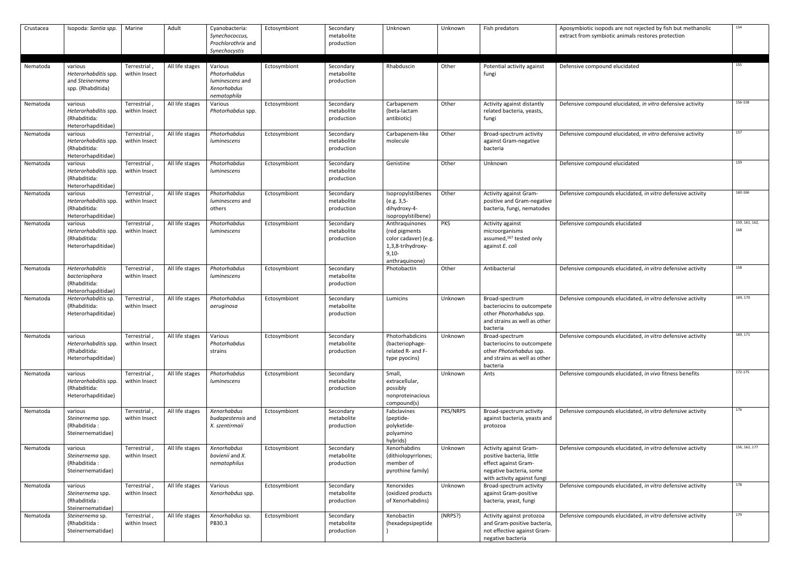| Crustacea | Isopoda: Santia spp.                                                    | Marine                        | Adult           | Cyanobacteria:<br>Synechococcus,<br>Prochlorothrix and<br>Synechocystis  | Ectosymbiont | Secondary<br>metabolite<br>production | Unknown                                                                                                    | Unknown  | Fish predators                                                                                                                        | Aposymbiotic isopods are not rejected by fish but methanolic<br>extract from symbiotic animals restores protection | 154                   |
|-----------|-------------------------------------------------------------------------|-------------------------------|-----------------|--------------------------------------------------------------------------|--------------|---------------------------------------|------------------------------------------------------------------------------------------------------------|----------|---------------------------------------------------------------------------------------------------------------------------------------|--------------------------------------------------------------------------------------------------------------------|-----------------------|
| Nematoda  | various<br>Heterorhabditis spp.<br>and Steinernema<br>spp. (Rhabditida) | Terrestrial,<br>within Insect | All life stages | Various<br>Photorhabdus<br>luminescens and<br>Xenorhabdus<br>nematophila | Ectosymbiont | Secondary<br>metabolite<br>production | Rhabduscin                                                                                                 | Other    | Potential activity against<br>fungi                                                                                                   | Defensive compound elucidated                                                                                      | 155                   |
| Nematoda  | various<br>Heterorhabditis spp.<br>(Rhabditida:<br>Heterorhapditidae)   | Terrestrial,<br>within Insect | All life stages | Various<br>Photorhabdus spp.                                             | Ectosymbiont | Secondary<br>metabolite<br>production | Carbapenem<br>(beta-lactam<br>antibiotic)                                                                  | Other    | Activity against distantly<br>related bacteria, yeasts,<br>fungi                                                                      | Defensive compound elucidated, in vitro defensive activity                                                         | 156-158               |
| Nematoda  | various<br>Heterorhabditis spp.<br>(Rhabditida:<br>Heterorhapditidae)   | Terrestrial,<br>within Insect | All life stages | Photorhabdus<br>luminescens                                              | Ectosymbiont | Secondary<br>metabolite<br>production | Carbapenem-like<br>molecule                                                                                | Other    | Broad-spectrum activity<br>against Gram-negative<br>bacteria                                                                          | Defensive compound elucidated, in vitro defensive activity                                                         | 157                   |
| Nematoda  | various<br>Heterorhabditis spp.<br>(Rhabditida:<br>Heterorhapditidae)   | Terrestrial,<br>within Insect | All life stages | Photorhabdus<br>luminescens                                              | Ectosymbiont | Secondary<br>metabolite<br>production | Genistine                                                                                                  | Other    | Unknown                                                                                                                               | Defensive compound elucidated                                                                                      | 159                   |
| Nematoda  | various<br>Heterorhabditis spp.<br>(Rhabditida:<br>Heterorhapditidae)   | Terrestrial,<br>within Insect | All life stages | Photorhabdus<br>luminescens and<br>others                                | Ectosymbiont | Secondary<br>metabolite<br>production | Isopropylstilbenes<br>(e.g. 3,5-<br>dihydroxy-4-<br>isopropylstilbene)                                     | Other    | Activity against Gram-<br>positive and Gram-negative<br>bacteria, fungi, nematodes                                                    | Defensive compounds elucidated, in vitro defensive activity                                                        | 160-166               |
| Nematoda  | various<br>Heterorhabditis spp.<br>(Rhabditida:<br>Heterorhapditidae)   | Terrestrial,<br>within Insect | All life stages | Photorhabdus<br>luminescens                                              | Ectosymbiont | Secondary<br>metabolite<br>production | Anthraquinones<br>(red pigments)<br>color cadaver) (e.g.<br>1,3,8-trihydroxy-<br>$9,10-$<br>anthraquinone) | PKS      | Activity against<br>microorganisms<br>assumed, <sup>167</sup> tested only<br>against E. coli                                          | Defensive compounds elucidated                                                                                     | 159, 161, 162,<br>168 |
| Nematoda  | Heterorhabditis<br>bacteriophora<br>(Rhabditida:<br>Heterorhapditidae)  | Terrestrial,<br>within Insect | All life stages | Photorhabdus<br>luminescens                                              | Ectosymbiont | Secondary<br>metabolite<br>production | Photobactin                                                                                                | Other    | Antibacterial                                                                                                                         | Defensive compounds elucidated, in vitro defensive activity                                                        | 158                   |
| Nematoda  | Heterorhabditis sp.<br>(Rhabditida:<br>Heterorhapditidae)               | Terrestrial,<br>within Insect | All life stages | Photorhabdus<br>aeruginosa                                               | Ectosymbiont | Secondary<br>metabolite<br>production | Lumicins                                                                                                   | Unknown  | Broad-spectrum<br>bacteriocins to outcompete<br>other Photorhabdus spp.<br>and strains as well as other<br>bacteria                   | Defensive compounds elucidated, in vitro defensive activity                                                        | 169, 170              |
| Nematoda  | various<br>Heterorhabditis spp.<br>(Rhabditida:<br>Heterorhapditidae)   | Terrestrial,<br>within Insect | All life stages | Various<br>Photorhabdus<br>strains                                       | Ectosymbiont | Secondary<br>metabolite<br>production | Photorhabdicins<br>(bacteriophage-<br>related R- and F-<br>type pyocins)                                   | Unknown  | Broad-spectrum<br>bacteriocins to outcompete<br>other Photorhabdus spp.<br>and strains as well as other<br>bacteria                   | Defensive compounds elucidated, in vitro defensive activity                                                        | 169, 171              |
| Nematoda  | various<br>Heterorhabditis spp.<br>(Rhabditida:<br>Heterorhapditidae)   | Terrestrial,<br>within Insect | All life stages | Photorhabdus<br>luminescens                                              | Ectosymbiont | Secondary<br>metabolite<br>production | Small,<br>extracellular,<br>possibly<br>nonproteinacious<br>compound(s)                                    | Unknown  | Ants                                                                                                                                  | Defensive compounds elucidated, in vivo fitness benefits                                                           | 172-175               |
| Nematoda  | various<br>Steinernema spp.<br>(Rhabditida:<br>Steinernematidae)        | Terrestrial,<br>within Insect | All life stages | Xenorhabdus<br>budapestensis and<br>X. szentirmaii                       | Ectosymbiont | Secondary<br>metabolite<br>production | Fabclavines<br>(peptide-<br>polyketide-<br>polyamino<br>hybrids)                                           | PKS/NRPS | Broad-spectrum activity<br>against bacteria, yeasts and<br>protozoa                                                                   | Defensive compounds elucidated, in vitro defensive activity                                                        | 176                   |
| Nematoda  | various<br>Steinernema spp<br>(Rhabditida:<br>Steinernematidae)         | Terrestrial,<br>within Insect | All life stages | Xenorhabdus<br>bovienii and X.<br>nematophilus                           | Ectosymbiont | Secondary<br>metabolite<br>production | Xenorhabdins<br>(dithiolopyrrlones;<br>member of<br>pyrothine family)                                      | Unknown  | Activity against Gram-<br>positive bacteria, little<br>effect against Gram-<br>negative bacteria, some<br>with activity against fungi | Defensive compounds elucidated, in vitro defensive activity                                                        | 156, 162, 177         |
| Nematoda  | various<br>Steinernema spp<br>(Rhabditida:<br>Steinernematidae)         | Terrestrial,<br>within Insect | All life stages | Various<br>Xenorhabdus spp.                                              | Ectosymbiont | Secondary<br>metabolite<br>production | Xenorxides<br>(oxidized products<br>of Xenorhabdins)                                                       | Unknown  | Broad-spectrum activity<br>against Gram-positive<br>bacteria, yeast, fungi                                                            | Defensive compounds elucidated, in vitro defensive activity                                                        | 178                   |
| Nematoda  | Steinernema sp.<br>(Rhabditida:<br>Steinernematidae)                    | Terrestrial,<br>within Insect | All life stages | Xenorhabdus sp.<br>PB30.3                                                | Ectosymbiont | Secondary<br>metabolite<br>production | Xenobactin<br>(hexadepsipeptide                                                                            | (NRPS?)  | Activity against protozoa<br>and Gram-positive bacteria,<br>not effective against Gram-<br>negative bacteria                          | Defensive compounds elucidated, in vitro defensive activity                                                        | 179                   |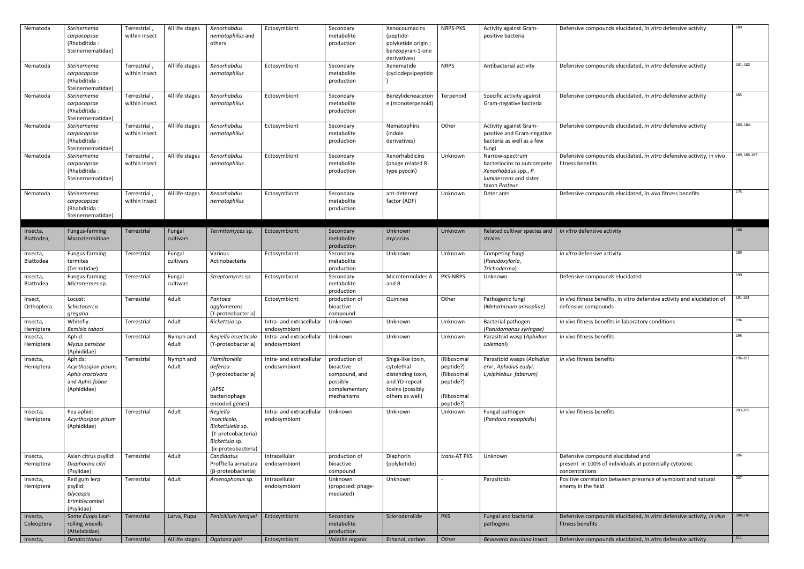| Nematoda               | Steinernema<br>carpocapsae<br>(Rhabditida:<br>Steinernematidae)                      | Terrestrial<br>within Insect  | All life stages     | Xenorhabdus<br>nematophilus and<br>others                                                                           | Ectosymbiont                             | Secondary<br>metabolite<br>production                                                  | Xenocoumacins<br>(peptide-<br>polyketide origin;<br>benzopyran-1-one<br>derivatives)                         | NRPS-PKS                                                                      | <b>Activity against Gram-</b><br>positive bacteria                                                               | Defensive compounds elucidated, in vitro defensive activity                                                    | 180          |
|------------------------|--------------------------------------------------------------------------------------|-------------------------------|---------------------|---------------------------------------------------------------------------------------------------------------------|------------------------------------------|----------------------------------------------------------------------------------------|--------------------------------------------------------------------------------------------------------------|-------------------------------------------------------------------------------|------------------------------------------------------------------------------------------------------------------|----------------------------------------------------------------------------------------------------------------|--------------|
| Nematoda               | Steinernema<br>carpocapsae<br>(Rhabditida:<br>Steinernematidae)                      | Terrestrial<br>within Insect  | All life stages     | Xenorhabdus<br>nematophilus                                                                                         | Ectosymbiont                             | Secondary<br>metabolite<br>production                                                  | Xenematide<br>(cyclodepsipeptide                                                                             | <b>NRPS</b>                                                                   | Antibacterial activity                                                                                           | Defensive compounds elucidated, in vitro defensive activity                                                    | 181, 182     |
| Nematoda               | Steinernema<br>carpocapsae<br>(Rhabditida:<br>Steinernematidae)                      | Terrestrial,<br>within Insect | All life stages     | Xenorhabdus<br>nematophilus                                                                                         | Ectosymbiont                             | Secondary<br>metabolite<br>production                                                  | Benzylideneaceton<br>e (monoterpenoid)                                                                       | Terpenoid                                                                     | Specific activity against<br>Gram-negative bacteria                                                              | Defensive compounds elucidated, in vitro defensive activity                                                    | 183          |
| Nematoda               | Steinernema<br>carpocapsae<br>(Rhabditida:<br>Steinernematidae)                      | Terrestrial<br>within Insect  | All life stages     | Xenorhabdus<br>nematophilus                                                                                         | Ectosymbiont                             | Secondary<br>metabolite<br>production                                                  | Nematophins<br>(indole<br>derivatives)                                                                       | Other                                                                         | Activity against Gram-<br>positive and Gram-negative<br>bacteria as well as a few<br>fungi                       | Defensive compounds elucidated, in vitro defensive activity                                                    | 160, 184     |
| Nematoda               | Steinernema<br>carpocapsae<br>(Rhabditida:<br>Steinernematidae)                      | Terrestrial,<br>within Insect | All life stages     | Xenorhabdus<br>nematophilus                                                                                         | Ectosymbiont                             | Secondary<br>metabolite<br>production                                                  | Xenorhabdicins<br>(phage related R-<br>type pyocin)                                                          | Unknown                                                                       | Narrow-spectrum<br>bacteriocins to outcompete<br>Xenorhabdus spp., P.<br>luminescens and sister<br>taxon Proteus | Defensive compounds elucidated, in vitro defensive activity, in vivo<br>fitness benefits                       | 169, 185-187 |
| Nematoda               | Steinernema<br>carpocapsae<br>(Rhabditida:<br>Steinernematidae)                      | Terrestrial,<br>within Insect | All life stages     | Xenorhabdus<br>nematophilus                                                                                         | Ectosymbiont                             | Secondary<br>metabolite<br>production                                                  | ant-deterent<br>factor (ADF)                                                                                 | Unknown                                                                       | Deter ants                                                                                                       | Defensive compounds elucidated, in vivo fitness benefits                                                       | 175          |
| Insecta,<br>Blattodea, | Fungus-farming<br>Macrotermitinae                                                    | Terrestrial                   | Fungal<br>cultivars | Termitomyces sp.                                                                                                    | Ectosymbiont                             | Secondary<br>metabolite<br>production                                                  | Unknown<br>mycocins                                                                                          | Unknown                                                                       | Related cultivar species and $\mid$ In vitro defensive activity<br>strains                                       |                                                                                                                | 188          |
| Insecta,<br>Blattodea  | Fungus-farming<br>termites<br>(Termitidae)                                           | Terrestrial                   | Fungal<br>cultivars | Various<br>Actinobacteria                                                                                           | Ectosymbiont                             | Secondary<br>metabolite<br>production                                                  | Unknown                                                                                                      | Unknown                                                                       | Competing fungi<br>(Pseudoxylaria,<br>Trichoderma)                                                               | In vitro defensive activity                                                                                    | 189          |
| Insecta,<br>Blattodea  | Fungus-farming<br>Microtermes sp.                                                    | Terrestrial                   | Fungal<br>cultivars | <i>Streptomyces</i> sp.                                                                                             | Ectosymbiont                             | Secondary<br>metabolite<br>production                                                  | Microtermolides A<br>and B                                                                                   | <b>PKS-NRPS</b>                                                               | Unknown                                                                                                          | Defensive compounds elucidated                                                                                 | 190          |
| Insect,<br>Orthoptera  | Locust:<br>Schistocerca<br>gregaria                                                  | Terrestrial                   | Adult               | Pantoea<br>agglomerans<br>(Y-proteobacteria)                                                                        | Ectosymbiont                             | production of<br>bioactive<br>compound                                                 | Quinines                                                                                                     | Other                                                                         | Pathogenic fungi<br>(Metarhizium anisopliae)                                                                     | In vivo fitness benefits, in vitro defensive activity and elucidation of<br>defensive compounds                | 191-193      |
| Insecta,<br>Hemiptera  | Whitefly:<br>Bemisia tabaci                                                          | Terrestrial                   | Adult               | Rickettsia sp.                                                                                                      | Intra- and extracellular<br>endosymbiont | Unknown                                                                                | Unknown                                                                                                      | Unknown                                                                       | Bacterial pathogen<br>(Pseudomonas syringae)                                                                     | In vivo fitness benefits in laboratory conditions                                                              | 194          |
| Insecta,<br>Hemiptera  | Aphid:<br>Myzus persicae<br>(Aphididae)                                              | Terrestrial                   | Nymph and<br>Adult  | Regiella insecticola<br>(Y-proteobacteria)                                                                          | Intra- and extracellular<br>endosymbiont | Unknown                                                                                | Unknown                                                                                                      | Unknown                                                                       | Parasitoid wasp (Aphidius<br>colemani)                                                                           | In vivo fitness benefits                                                                                       | 195          |
| Insecta,<br>Hemiptera  | Aphids:<br>Acyrthosipon pisum,<br>Aphis craccivora<br>and Aphis fabae<br>(Aphididae) | Terrestrial                   | Nymph and<br>Adult  | Hamiltonella<br>defensa<br>(Y-proteobacteria)<br>(APSE<br>bacteriophage<br>encoded genes)                           | Intra- and extracellular<br>endosymbiont | production of<br>bioactive<br>compound, and<br>possibly<br>complementary<br>mechanisms | Shiga-like toxin,<br>cytolethal<br>distending toxin,<br>and YD-repeat<br>toxins (possibly<br>others as well) | (Ribosomal<br>peptide?)<br>(Ribosomal<br>peptide?)<br>(Ribosomal<br>peptide?) | Parasitoid wasps (Aphidius<br>ervi, Aphidius eadyi,<br>Lysiphlebus fabarum)                                      | In vivo fitness benefits                                                                                       | 196-202      |
| Insecta;<br>Hemiptera  | Pea aphid:<br>Acyrthosipon pisum<br>(Aphididae)                                      | Terrestrial                   | Adult               | Regiella<br>insecticola,<br>Rickettsiella sp.<br>(Y-proteobacteria)<br>Rickettsia sp.<br>$(\alpha$ -proteobacteria) | Intra- and extracellular<br>endosymbiont | Unknown                                                                                | Unknown                                                                                                      | Unknown                                                                       | Fungal pathogen<br>(Pandora neoaphidis)                                                                          | In vivo fitness benefits                                                                                       | 203-205      |
| Insecta,<br>Hemiptera  | Asian citrus psyllid:<br>Diaphorina citri<br>(Psylidae)                              | Terrestrial                   | Adult               | Candidatus<br>Profftella armatura<br>(β-proteobacteria)                                                             | Intracellular<br>endosymbiont            | production of<br>bioactive<br>compound                                                 | Diaphorin<br>(polyketide)                                                                                    | trans-AT PKS                                                                  | Unknown                                                                                                          | Defensive compound elucidated and<br>present in 100% of individuals at potentially cytotoxic<br>concentrations | 206          |
| Insecta,<br>Hemiptera  | Red gum lerp<br>psyllid:<br>Glycaspis<br>brimblecombei<br>(Psylidae)                 | Terrestrial                   | Adult               | Arsenophonus sp.                                                                                                    | Intracellular<br>endosymbiont            | Unknown<br>(proposed: phage-<br>mediated)                                              | Unknown                                                                                                      |                                                                               | Parasitoids                                                                                                      | Positive correlation between presence of symbiont and natural<br>enemy in the field                            | 207          |
| Insecta,<br>Coleoptera | Some Euops Leaf-<br>rolling weevils<br>(Attelabidae)                                 | Terrestrial                   | Larva, Pupa         | Penicillium herquei                                                                                                 | Ectosymbiont                             | Secondary<br>metabolite<br>production                                                  | Scleroderolide                                                                                               | PKS                                                                           | Fungal and bacterial<br>pathogens                                                                                | Defensive compounds elucidated, in vitro defensive activity, in vivo<br>fitness benefits                       | 208-210      |
| Insecta,               | Dendroctonus                                                                         | Terrestrial                   | All life stages     | Ogataea pini                                                                                                        | Ectosymbiont                             | Volatile organic                                                                       | Ethanol, carbon                                                                                              | Other                                                                         | Beauvaria bassiana insect                                                                                        | Defensive compounds elucidated, in vitro defensive activity                                                    | 211          |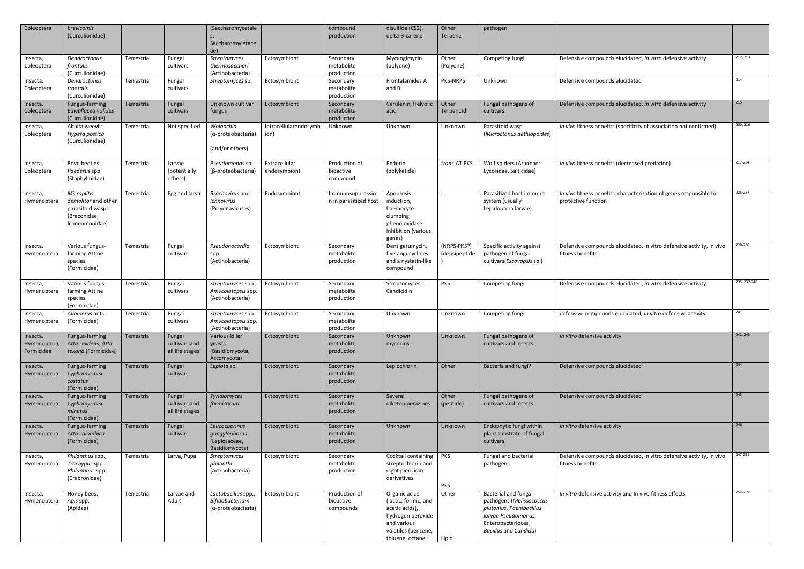| Coleoptera                             | brevicomis<br>(Curculionidae)                                                                   |             |                                            | (Saccharomycetale<br>$S$ :<br>Saccharomycetace<br>ae)                |                               | compound<br>production                    | disulfide (CS2),<br>delta-3-carene                                                                                                     | Other<br>Terpene             | pathogen                                                                                                                                                         |                                                                                            |              |
|----------------------------------------|-------------------------------------------------------------------------------------------------|-------------|--------------------------------------------|----------------------------------------------------------------------|-------------------------------|-------------------------------------------|----------------------------------------------------------------------------------------------------------------------------------------|------------------------------|------------------------------------------------------------------------------------------------------------------------------------------------------------------|--------------------------------------------------------------------------------------------|--------------|
| Insecta,<br>Coleoptera                 | Dendroctonus<br>frontalis<br>(Curculionidae)                                                    | Terrestrial | Fungal<br>cultivars                        | Streptomyces<br>thermosacchari<br>(Actinobacteria)                   | Ectosymbiont                  | Secondary<br>metabolite<br>production     | Mycangimycin<br>(polyene)                                                                                                              | Other<br>(Polyene)           | Competing fungi                                                                                                                                                  | Defensive compounds elucidated, in vitro defensive activity                                | 212, 213     |
| Insecta,<br>Coleoptera                 | Dendroctonus<br>frontalis<br>(Curculionidae)                                                    | Terrestrial | Fungal<br>cultivars                        | Streptomyces sp.                                                     | Ectosymbiont                  | Secondary<br>metabolite<br>production     | Frontalamides A<br>and B                                                                                                               | PKS-NRPS                     | Unknown                                                                                                                                                          | Defensive compounds elucidated                                                             | 214          |
| Insecta,<br>Coleoptera                 | Fungus-farming<br>Euwallacea validus<br>(Curculionidae)                                         | Terrestrial | Fungal<br>cultivars                        | Unknown cultivar<br>fungus                                           | Ectosymbiont                  | Secondary<br>metabolite<br>production     | Cerulenin, Helvolic<br>acid                                                                                                            | Other<br>Terpenoid           | Fungal pathogens of<br>cultivars                                                                                                                                 | Defensive compounds elucidated, in vitro defensive activity                                | 215          |
| Insecta,<br>Coleoptera                 | Alfalfa weevil:<br>Hypera postica<br>(Curculionidae)                                            | Terrestrial | Not specified                              | Wolbachia<br>$(\alpha$ -proteobacteria)<br>(and/or others)           | Intracellularendosymb<br>iont | Unknown                                   | Unknown                                                                                                                                | Unknown                      | Parasitoid wasp<br>(Microctonus aethiopoides)                                                                                                                    | In vivo fitness benefits (specificity of association not confirmed)                        | 200, 216     |
| Insecta,<br>Coleoptera                 | Rove beetles:<br>Paederus spp.<br>(Staphylinidae)                                               | Terrestrial | Larvae<br>(potentially<br>others)          | Pseudomonas sp.<br>(β-proteobacteria)                                | Extracellular<br>endosymbiont | Production of<br>bioactive<br>compound    | Pederin<br>(polyketide)                                                                                                                | trans-AT PKS                 | Wolf spiders (Araneae:<br>Lycosidae, Salticidae)                                                                                                                 | In vivo fitness benefits (decreased predation)                                             | 217-224      |
| Insecta,<br>Hymenoptera                | <b>Microplitis</b><br>demolitor and other<br>parasitoid wasps<br>(Braconidae,<br>Ichneumonidae) | Terrestrial | Egg and larva                              | Brachovirus and<br><b>Ichnovirus</b><br>(Polydnaviruses)             | Endosymbiont                  | Immunosuppressio<br>n in parasitized host | Apoptosis<br>induction,<br>haemocyte<br>clumping,<br>phenoloxidase<br>inhibition (various<br>genes)                                    |                              | Parasitized host immune<br>system (usually<br>Lepidoptera larvae)                                                                                                | In vivo fitness benefits, characterization of genes responsible for<br>protective function | 225-227      |
| Insecta,<br>Hymenoptera                | Various fungus-<br>farming Attine<br>species<br>(Formicidae)                                    | Terrestrial | Fungal<br>cultivars                        | Pseudonocardia<br>spp.<br>(Actinobacteria)                           | Ectosymbiont                  | Secondary<br>metabolite<br>production     | Dentigerumycin,<br>five angucyclines<br>and a nystatin-like<br>compound                                                                | (NRPS-PKS?)<br>(depsipeptide | Specific activity against<br>pathogen of fungal<br>cultivars(Escovopsis sp.)                                                                                     | Defensive compounds elucidated, in vitro defensive activity, in vivo<br>fitness benefits   | 228-236      |
| Insecta,<br>Hymenoptera                | Various fungus-<br>farming Attine<br>species<br>(Formicidae)                                    | Terrestrial | Fungal<br>cultivars                        | Streptomyces spp.,<br>Amycolatopsis spp.<br>(Actinobacteria)         | Ectosymbiont                  | Secondary<br>metabolite<br>production     | Streptomyces:<br>Candicidin                                                                                                            | <b>PKS</b>                   | Competing fungi                                                                                                                                                  | Defensive compounds elucidated, in vitro defensive activity                                | 235, 237-240 |
| Insecta,<br>Hymenoptera                | Allomerus ants<br>(Formicidae)                                                                  | Terrestrial | Fungal<br>cultivars                        | Streptomyces spp.<br>Amycolatopsis spp.<br>(Actinobacteria)          | Ectosymbiont                  | Secondary<br>metabolite<br>production     | Unknown                                                                                                                                | Unknown                      | Competing fungi                                                                                                                                                  | defensive compounds elucidated, in vitro defensive activity                                | 241          |
| Insecta,<br>Hymenoptera,<br>Formicidae | Fungus-farming<br>Atta sexdens, Atta<br>texana (Formicidae)                                     | Terrestrial | Fungal<br>cultivars and<br>all life stages | Various killer<br>yeasts<br>(Basidiomycota,<br>Ascomycota)           | Ectosymbiont                  | Secondary<br>metabolite<br>production     | Unknown<br>mycocins                                                                                                                    | Unknown                      | Fungal pathogens of<br>cultivars and insects                                                                                                                     | In vitro defensive activity                                                                | 242, 243     |
| Insecta,<br>Hymenoptera                | Fungus-farming<br>Cyphomyrmex<br>costatus<br>(Formicidae)                                       | Terrestrial | Fungal<br>cultivars                        | Lepiota sp.                                                          | Ectosymbiont                  | Secondary<br>metabolite<br>production     | Lepiochlorin                                                                                                                           | Other                        | Bacteria and fungi?                                                                                                                                              | Defensive compounds elucidated                                                             | 244          |
| Insecta,<br>Hymenoptera                | Fungus-farming<br>Cyphomyrmex<br>minutus<br>(Formicidae)                                        | Terrestrial | Fungal<br>cultivars and<br>all life stages | Tyridiomyces<br>formicarum                                           | Ectosymbiont                  | Secondary<br>metabolite<br>production     | Several<br>diketopiperazines                                                                                                           | Other<br>(peptide)           | Fungal pathogens of<br>cultivars and insects                                                                                                                     | Defensive compounds elucidated                                                             | 245          |
| Insecta,<br>Hymenoptera                | Fungus-farming<br>Atta colombica<br>(Formicidae)                                                | Terrestrial | Fungal<br>cultivars                        | Leucocoprinus<br>gongylophorus<br>(Lepiotaceae,<br>Basidiomycota)    | Ectosymbiont                  | Secondary<br>metabolite<br>production     | Unknown                                                                                                                                | Unknown                      | Endophytic fungi within<br>plant substrate of fungal<br>cultivars                                                                                                | In vitro defensive activity                                                                | 246          |
| Insecta,<br>Hymenoptera                | Philanthus spp.,<br>Trachypus spp.,<br>Philantinus spp.<br>(Crabronidae)                        | Terrestrial | Larva, Pupa                                | Streptomyces<br>philanthi<br>(Actinobacteria)                        | Ectosymbiont                  | Secondary<br>metabolite<br>production     | Cocktail containing   PKS<br>streptochlorin and<br>eight piericidin<br>derivatives                                                     | <b>PKS</b>                   | Fungal and bacterial<br>pathogens                                                                                                                                | Defensive compounds elucidated, in vitro defensive activity, in vivo<br>fitness benefits   | 247-251      |
| Insecta,<br>Hymenoptera                | Honey bees:<br>Apis spp.<br>(Apidae)                                                            | Terrestrial | Larvae and<br>Adult                        | Lactobacillus spp.,<br>Bifidobacterium<br>$(\alpha$ -proteobacteria) | Ectosymbiont                  | Production of<br>bioactive<br>compounds   | Organic acids<br>(lactic, formic, and<br>acetic acids),<br>hydrogen peroxide<br>and various<br>volatiles (benzene,<br>toluene, octane, | Other<br>Lipid               | <b>Bacterial and fungal</b><br>pathogens (Melissococcus<br>plutonius, Paenibacillus<br>larvae Pseudomonas,<br>Enterobacteriocea,<br><b>Bacillus and Candida)</b> | In vitro defensive activity and In vivo fitness effects                                    | 252-259      |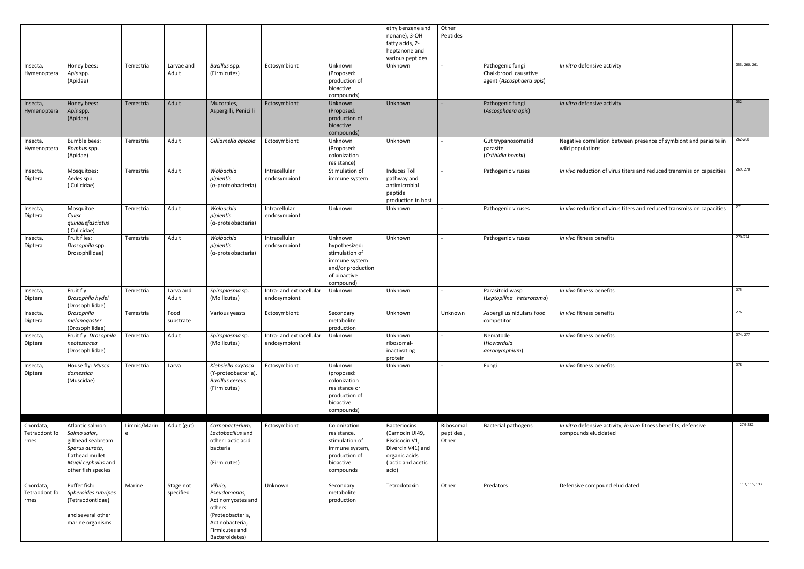|                                    |                                                                                                                                       |                   |                        |                                                                                                                                   |                                          |                                                                                                               | ethylbenzene and<br>nonane), 3-OH<br>fatty acids, 2-<br>heptanone and<br>various peptides                              | Other<br>Peptides               |                                                                      |                                                                                          |               |
|------------------------------------|---------------------------------------------------------------------------------------------------------------------------------------|-------------------|------------------------|-----------------------------------------------------------------------------------------------------------------------------------|------------------------------------------|---------------------------------------------------------------------------------------------------------------|------------------------------------------------------------------------------------------------------------------------|---------------------------------|----------------------------------------------------------------------|------------------------------------------------------------------------------------------|---------------|
| Insecta,<br>Hymenoptera            | Honey bees:<br>Apis spp.<br>(Apidae)                                                                                                  | Terrestrial       | Larvae and<br>Adult    | Bacillus spp.<br>(Firmicutes)                                                                                                     | Ectosymbiont                             | Unknown<br>(Proposed:<br>production of<br>bioactive<br>compounds)                                             | Unknown                                                                                                                |                                 | Pathogenic fungi<br>Chalkbrood causative<br>agent (Ascosphaera apis) | In vitro defensive activity                                                              | 253, 260, 261 |
| Insecta,<br>Hymenoptera            | Honey bees:<br>Apis spp.<br>(Apidae)                                                                                                  | Terrestrial       | Adult                  | Mucorales,<br>Aspergilli, Penicilli                                                                                               | Ectosymbiont                             | Unknown<br>(Proposed:<br>production of<br>bioactive<br>compounds)                                             | Unknown                                                                                                                | $\sim$                          | Pathogenic fungi<br>(Ascosphaera apis)                               | In vitro defensive activity                                                              | 252           |
| Insecta,<br>Hymenoptera            | <b>Bumble bees:</b><br>Bombus spp.<br>(Apidae)                                                                                        | Terrestrial       | Adult                  | Gilliamella apicola                                                                                                               | Ectosymbiont                             | Unknown<br>(Proposed:<br>colonization<br>resistance)                                                          | Unknown                                                                                                                |                                 | Gut trypanosomatid<br>parasite<br>(Crithidia bombi)                  | Negative correlation between presence of symbiont and parasite in<br>wild populations    | 262-268       |
| Insecta,<br>Diptera                | Mosquitoes:<br>Aedes spp.<br>(Culicidae)                                                                                              | Terrestrial       | Adult                  | Wolbachia<br>pipientis<br>$(\alpha$ -proteobacteria)                                                                              | Intracellular<br>endosymbiont            | Stimulation of<br>immune system                                                                               | Induces Toll<br>pathway and<br>antimicrobial<br>peptide<br>production in host                                          |                                 | Pathogenic viruses                                                   | In vivo reduction of virus titers and reduced transmission capacities                    | 269, 270      |
| Insecta,<br>Diptera                | Mosquitoe:<br>Culex<br>quinquefasciatus<br>(Culicidae)                                                                                | Terrestrial       | Adult                  | Wolbachia<br>pipientis<br>$(\alpha$ -proteobacteria)                                                                              | Intracellular<br>endosymbiont            | Unknown                                                                                                       | Unknown                                                                                                                |                                 | Pathogenic viruses                                                   | In vivo reduction of virus titers and reduced transmission capacities                    | 271           |
| Insecta,<br>Diptera                | Fruit flies:<br>Drosophila spp.<br>Drosophilidae)                                                                                     | Terrestrial       | Adult                  | Wolbachia<br>pipientis<br>$(\alpha$ -proteobacteria)                                                                              | Intracellular<br>endosymbiont            | Unknown<br>hypothesized:<br>stimulation of<br>immune system<br>and/or production<br>of bioactive<br>compound) | Unknown                                                                                                                |                                 | Pathogenic viruses                                                   | In vivo fitness benefits                                                                 | 270-274       |
| Insecta,<br>Diptera                | Fruit fly:<br>Drosophila hydei<br>(Drosophilidae)                                                                                     | Terrestrial       | Larva and<br>Adult     | Spiroplasma sp.<br>(Mollicutes)                                                                                                   | Intra- and extracellular<br>endosymbiont | Unknown                                                                                                       | Unknown                                                                                                                |                                 | Parasitoid wasp<br>(Leptopilina heterotoma)                          | In vivo fitness benefits                                                                 | 275           |
| Insecta,<br>Diptera                | Drosophila<br>melanogaster<br>(Drosophilidae)                                                                                         | Terrestrial       | Food<br>substrate      | Various yeasts                                                                                                                    | Ectosymbiont                             | Secondary<br>metabolite<br>production                                                                         | Unknown                                                                                                                | Unknown                         | Aspergillus nidulans food<br>competitor                              | In vivo fitness benefits                                                                 | 276           |
| Insecta,<br>Diptera                | Fruit fly: Drosophila<br>neotestacea<br>(Drosophilidae)                                                                               | Terrestrial       | Adult                  | Spiroplasma sp.<br>(Mollicutes)                                                                                                   | Intra- and extracellular<br>endosymbiont | Unknown                                                                                                       | Unknown<br>ribosomal-<br>inactivating<br>protein                                                                       |                                 | Nematode<br>(Howardula<br>aoronymphium)                              | In vivo fitness benefits                                                                 | 274, 277      |
| Insecta,<br>Diptera                | House fly: Musca<br>domestica<br>(Muscidae)                                                                                           | Terrestrial       | Larva                  | Klebsiella oxytoca<br>(Y-proteobacteria),<br><b>Bacillus cereus</b><br>(Firmicutes)                                               | Ectosymbiont                             | Unknown<br>(proposed:<br>colonization<br>resistance or<br>production of<br>bioactive<br>compounds)            | Unknown                                                                                                                |                                 | Fungi                                                                | In vivo fitness benefits                                                                 | 278           |
| Chordata,<br>Tetraodontifo<br>rmes | Atlantic salmon<br>Salmo salar,<br>gilthead seabream<br>Sparus aurata,<br>flathead mullet<br>Mugil cephalus and<br>other fish species | Limnic/Marin<br>e | Adult (gut)            | Carnobacterium,<br>Lactobacillus and<br>other Lactic acid<br>bacteria<br>(Firmicutes)                                             | Ectosymbiont                             | Colonization<br>resistance,<br>stimulation of<br>immune system,<br>production of<br>bioactive<br>compounds    | Bacteriocins<br>(Carnocin UI49,<br>Piscicocin V1,<br>Divercin V41) and<br>organic acids<br>(lactic and acetic<br>acid) | Ribosomal<br>peptides,<br>Other | <b>Bacterial pathogens</b>                                           | In vitro defensive activity, in vivo fitness benefits, defensive<br>compounds elucidated | 279-282       |
| Chordata,<br>Tetraodontifo<br>rmes | Puffer fish:<br>Spheroides rubripes<br>(Tetraodontidae)<br>and several other<br>marine organisms                                      | Marine            | Stage not<br>specified | Vibrio,<br>Pseudomonas,<br>Actinomycetes and<br>others<br>(Proteobacteria,<br>Actinobacteria,<br>Firmicutes and<br>Bacteroidetes) | Unknown                                  | Secondary<br>metabolite<br>production                                                                         | Tetrodotoxin                                                                                                           | Other                           | Predators                                                            | Defensive compound elucidated                                                            | 113, 115, 117 |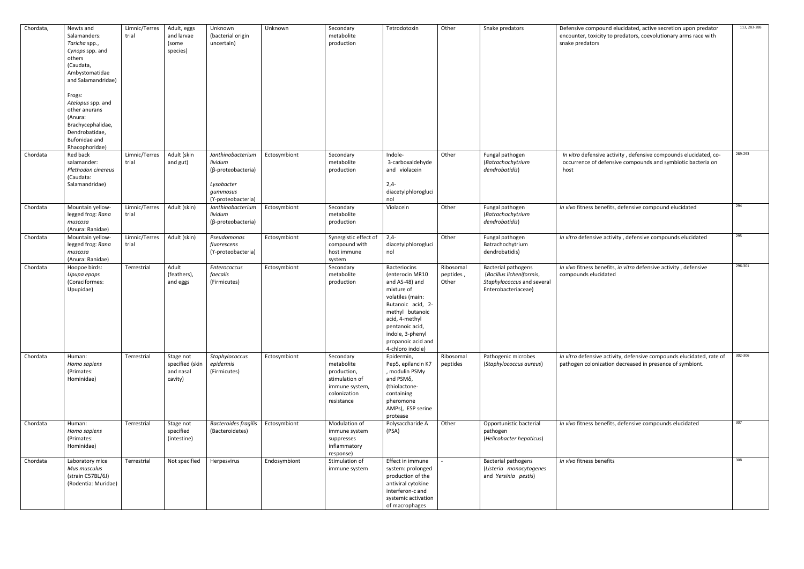| Chordata, | Newts and<br>Salamanders:<br>Taricha spp.,<br>Cynops spp. and<br>others<br>(Caudata,<br>Ambystomatidae<br>and Salamandridae)<br>Frogs:<br>Atelopus spp. and<br>other anurans | Limnic/Terres<br>trial | Adult, eggs<br>and larvae<br>(some<br>species)       | Unknown<br>(bacterial origin<br>uncertain)                                                         | Unknown      | Secondary<br>metabolite<br>production                                                                    | Tetrodotoxin                                                                                                                                                                                                                   | Other                           | Snake predators                                                                                             | Defensive compound elucidated, active secretion upon predator<br>encounter, toxicity to predators, coevolutionary arms race with<br>snake predators |
|-----------|------------------------------------------------------------------------------------------------------------------------------------------------------------------------------|------------------------|------------------------------------------------------|----------------------------------------------------------------------------------------------------|--------------|----------------------------------------------------------------------------------------------------------|--------------------------------------------------------------------------------------------------------------------------------------------------------------------------------------------------------------------------------|---------------------------------|-------------------------------------------------------------------------------------------------------------|-----------------------------------------------------------------------------------------------------------------------------------------------------|
|           | (Anura:<br>Brachycephalidae,<br>Dendrobatidae,<br>Bufonidae and<br>Rhacophoridae)                                                                                            |                        |                                                      |                                                                                                    |              |                                                                                                          |                                                                                                                                                                                                                                |                                 |                                                                                                             |                                                                                                                                                     |
| Chordata  | Red back<br>salamander:<br>Plethodon cinereus<br>(Caudata:<br>Salamandridae)                                                                                                 | Limnic/Terres<br>trial | Adult (skin<br>and gut)                              | Janthinobacterium<br>lividum<br>(β-proteobacteria)<br>Lysobacter<br>gummosus<br>(Y-proteobacteria) | Ectosymbiont | Secondary<br>metabolite<br>production                                                                    | Indole-<br>3-carboxaldehyde<br>and violacein<br>$2,4-$<br>diacetylphlorogluci<br>nol                                                                                                                                           | Other                           | Fungal pathogen<br>(Batrachochytrium<br>dendrobatidis)                                                      | In vitro defensive activity, defensive compounds elucidated, co<br>occurrence of defensive compounds and symbiotic bacteria on<br>host              |
| Chordata  | Mountain yellow-<br>legged frog: Rana<br>muscosa<br>(Anura: Ranidae)                                                                                                         | Limnic/Terres<br>trial | Adult (skin)                                         | Janthinobacterium<br>lividum<br>(β-proteobacteria)                                                 | Ectosymbiont | Secondary<br>metabolite<br>production                                                                    | Violacein                                                                                                                                                                                                                      | Other                           | Fungal pathogen<br>(Batrachochytrium<br>dendrobatidis)                                                      | In vivo fitness benefits, defensive compound elucidated                                                                                             |
| Chordata  | Mountain yellow-<br>legged frog: Rana<br>muscosa<br>(Anura: Ranidae)                                                                                                         | Limnic/Terres<br>trial | Adult (skin)                                         | Pseudomonas<br>fluorescens<br>(Y-proteobacteria)                                                   | Ectosymbiont | Synergistic effect of<br>compound with<br>host immune<br>system                                          | $2,4-$<br>diacetylphlorogluci<br>nol                                                                                                                                                                                           | Other                           | Fungal pathogen<br>Batrachochytrium<br>dendrobatidis)                                                       | In vitro defensive activity, defensive compounds elucidated                                                                                         |
| Chordata  | Hoopoe birds:<br>Upupa epops<br>(Coraciformes:<br>Upupidae)                                                                                                                  | Terrestrial            | Adult<br>(feathers),<br>and eggs                     | Enterococcus<br>faecalis<br>(Firmicutes)                                                           | Ectosymbiont | Secondary<br>metabolite<br>production                                                                    | Bacteriocins<br>(enterocin MR10<br>and AS-48) and<br>mixture of<br>volatiles (main:<br>Butanoic acid, 2-<br>methyl butanoic<br>acid, 4-methyl<br>pentanoic acid,<br>indole, 3-phenyl<br>propanoic acid and<br>4-chloro indole) | Ribosomal<br>peptides,<br>Other | <b>Bacterial pathogens</b><br>(Bacillus licheniformis,<br>Staphylococcus and several<br>Enterobacteriaceae) | In vivo fitness benefits, in vitro defensive activity, defensive<br>compounds elucidated                                                            |
| Chordata  | Human:<br>Homo sapiens<br>(Primates:<br>Hominidae)                                                                                                                           | Terrestrial            | Stage not<br>specified (skin<br>and nasal<br>cavity) | Staphylococcus<br>epidermis<br>(Firmicutes)                                                        | Ectosymbiont | Secondary<br>metabolite<br>production,<br>stimulation of<br>immune system,<br>colonization<br>resistance | Epidermin,<br>Pep5, epilancin K7<br>, modulin PSMγ<br>and PSMδ,<br>(thiolactone-<br>containing<br>pheromone<br>AMPs), ESP serine<br>protease                                                                                   | Ribosomal<br>peptides           | Pathogenic microbes<br>(Staphylococcus aureus)                                                              | In vitro defensive activity, defensive compounds elucidated, rate<br>pathogen colonization decreased in presence of symbiont.                       |
| Chordata  | Human:<br>Homo sapiens<br>(Primates:<br>Hominidae)                                                                                                                           | Terrestrial            | Stage not<br>specified<br>(intestine)                | <b>Bacteroides fragilis</b><br>(Bacteroidetes)                                                     | Ectosymbiont | Modulation of<br>immune system<br>suppresses<br>inflammatory<br>response)                                | Polysaccharide A<br>(PSA)                                                                                                                                                                                                      | Other                           | Opportunistic bacterial<br>pathogen<br>(Helicobacter hepaticus)                                             | In vivo fitness benefits, defensive compounds elucidated                                                                                            |
| Chordata  | Laboratory mice<br>Mus musculus<br>(strain C57BL/6J)<br>(Rodentia: Muridae)                                                                                                  | Terrestrial            | Not specified                                        | Herpesvirus                                                                                        | Endosymbiont | Stimulation of<br>immune system                                                                          | Effect in immune<br>system: prolonged<br>production of the<br>antiviral cytokine<br>interferon-c and<br>systemic activation<br>of macrophages                                                                                  |                                 | <b>Bacterial pathogens</b><br>(Listeria monocytogenes<br>and Yersinia pestis)                               | In vivo fitness benefits                                                                                                                            |

|              | Defensive compound elucidated, active secretion upon predator<br>encounter, toxicity to predators, coevolutionary arms race with<br>snake predators | 113, 283-288 |
|--------------|-----------------------------------------------------------------------------------------------------------------------------------------------------|--------------|
|              |                                                                                                                                                     |              |
|              |                                                                                                                                                     |              |
|              |                                                                                                                                                     |              |
|              | In vitro defensive activity, defensive compounds elucidated, co-<br>occurrence of defensive compounds and symbiotic bacteria on<br>host             | 289-293      |
|              | In vivo fitness benefits, defensive compound elucidated                                                                                             | 294          |
|              | In vitro defensive activity, defensive compounds elucidated                                                                                         | 295          |
| S,<br>everal | In vivo fitness benefits, in vitro defensive activity, defensive<br>compounds elucidated                                                            | 296-301      |
|              |                                                                                                                                                     |              |
| us)          | In vitro defensive activity, defensive compounds elucidated, rate of<br>pathogen colonization decreased in presence of symbiont.                    | 302-306      |
| al           | In vivo fitness benefits, defensive compounds elucidated                                                                                            | 307          |
| us)          |                                                                                                                                                     |              |
| nes?         | In vivo fitness benefits                                                                                                                            | 308          |
|              |                                                                                                                                                     |              |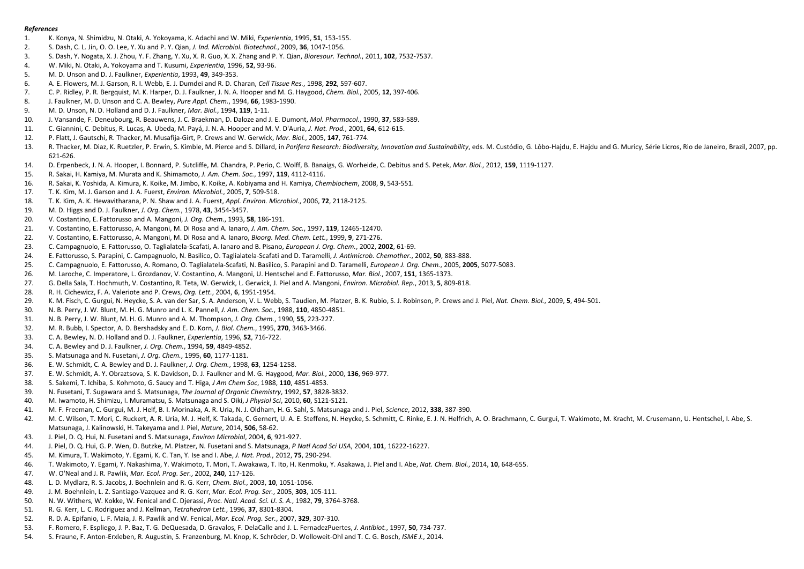## *References*

- <span id="page-8-0"></span>1. K. Konya, N. Shimidzu, N. Otaki, A. Yokoyama, K. Adachi and W. Miki, *Experientia*, 1995, **51**, 153-155.
- 2. S. Dash, C. L. Jin, O. O. Lee, Y. Xu and P. Y. Qian, *J. Ind. Microbiol. Biotechnol.*, 2009, **36**, 1047-1056.
- 3. S. Dash, Y. Nogata, X. J. Zhou, Y. F. Zhang, Y. Xu, X. R. Guo, X. X. Zhang and P. Y. Qian, *Bioresour. Technol.*, 2011, **102**, 7532-7537.
- 4. W. Miki, N. Otaki, A. Yokoyama and T. Kusumi, *Experientia*, 1996, **52**, 93-96.
- 5. M. D. Unson and D. J. Faulkner, *Experientia*, 1993, **49**, 349-353.
- 6. A. E. Flowers, M. J. Garson, R. I. Webb, E. J. Dumdei and R. D. Charan, *Cell Tissue Res.*, 1998, **292**, 597-607.
- 7. C. P. Ridley, P. R. Bergquist, M. K. Harper, D. J. Faulkner, J. N. A. Hooper and M. G. Haygood, *Chem. Biol.*, 2005, **12**, 397-406.
- 8. J. Faulkner, M. D. Unson and C. A. Bewley, *Pure Appl. Chem.*, 1994, **66**, 1983-1990.
- 9. M. D. Unson, N. D. Holland and D. J. Faulkner, *Mar. Biol.*, 1994, **119**, 1-11.
- 10. J. Vansande, F. Deneubourg, R. Beauwens, J. C. Braekman, D. Daloze and J. E. Dumont, *Mol. Pharmacol.*, 1990, **37**, 583-589.
- 11. C. Giannini, C. Debitus, R. Lucas, A. Ubeda, M. Payá, J. N. A. Hooper and M. V. D'Auria, *J. Nat. Prod.*, 2001, **64**, 612-615.
- 12. P. Flatt, J. Gautschi, R. Thacker, M. Musafija-Girt, P. Crews and W. Gerwick, *Mar. Biol.*, 2005, **147**, 761-774.
- 13. R. Thacker, M. Diaz, K. Ruetzler, P. Erwin, S. Kimble, M. Pierce and S. Dillard, in Porifera Research: Biodiversity, Innovation and Sustainability, eds. M. Custódio, G. Lôbo-Hajdu, E. Hajdu and G. Muricy, Série Licros, 621-626.
- 14. D. Erpenbeck, J. N. A. Hooper, I. Bonnard, P. Sutcliffe, M. Chandra, P. Perio, C. Wolff, B. Banaigs, G. Worheide, C. Debitus and S. Petek, *Mar. Biol.*, 2012, **159**, 1119-1127.
- 15. R. Sakai, H. Kamiya, M. Murata and K. Shimamoto, *J. Am. Chem. Soc.*, 1997, **119**, 4112-4116.
- 16. R. Sakai, K. Yoshida, A. Kimura, K. Koike, M. Jimbo, K. Koike, A. Kobiyama and H. Kamiya, *Chembiochem*, 2008, **9**, 543-551.
- 17. T. K. Kim, M. J. Garson and J. A. Fuerst, *Environ. Microbiol.*, 2005, **7**, 509-518.
- 18. T. K. Kim, A. K. Hewavitharana, P. N. Shaw and J. A. Fuerst, *Appl. Environ. Microbiol.*, 2006, **72**, 2118-2125.
- 19. M. D. Higgs and D. J. Faulkner, *J. Org. Chem.*, 1978, **43**, 3454-3457.
- 20. V. Costantino, E. Fattorusso and A. Mangoni, *J. Org. Chem.*, 1993, **58**, 186-191.
- 21. V. Costantino, E. Fattorusso, A. Mangoni, M. Di Rosa and A. Ianaro, *J. Am. Chem. Soc.*, 1997, **119**, 12465-12470.
- 22. V. Costantino, E. Fattorusso, A. Mangoni, M. Di Rosa and A. Ianaro, *Bioorg. Med. Chem. Lett.*, 1999, **9**, 271-276.
- 23. C. Campagnuolo, E. Fattorusso, O. Taglialatela-Scafati, A. Ianaro and B. Pisano, *European J. Org. Chem.*, 2002, **2002**, 61-69.
- 24. E. Fattorusso, S. Parapini, C. Campagnuolo, N. Basilico, O. Taglialatela-Scafati and D. Taramelli, *J. Antimicrob. Chemother.*, 2002, **50**, 883-888.
- 25. C. Campagnuolo, E. Fattorusso, A. Romano, O. Taglialatela-Scafati, N. Basilico, S. Parapini and D. Taramelli, *European J. Org. Chem.*, 2005, **2005**, 5077-5083.
- 26. M. Laroche, C. Imperatore, L. Grozdanov, V. Costantino, A. Mangoni, U. Hentschel and E. Fattorusso, *Mar. Biol.*, 2007, **151**, 1365-1373.
- 27. G. Della Sala, T. Hochmuth, V. Costantino, R. Teta, W. Gerwick, L. Gerwick, J. Piel and A. Mangoni, *Environ. Microbiol. Rep.*, 2013, **5**, 809-818.
- 28. R. H. Cichewicz, F. A. Valeriote and P. Crews, *Org. Lett.*, 2004, **6**, 1951-1954.
- 29. K. M. Fisch, C. Gurgui, N. Heycke, S. A. van der Sar, S. A. Anderson, V. L. Webb, S. Taudien, M. Platzer, B. K. Rubio, S. J. Robinson, P. Crews and J. Piel, *Nat. Chem. Biol.*, 2009, **5**, 494-501.
- 30. N. B. Perry, J. W. Blunt, M. H. G. Munro and L. K. Pannell, *J. Am. Chem. Soc.*, 1988, **110**, 4850-4851.
- 31. N. B. Perry, J. W. Blunt, M. H. G. Munro and A. M. Thompson, *J. Org. Chem.*, 1990, **55**, 223-227.
- 32. M. R. Bubb, I. Spector, A. D. Bershadsky and E. D. Korn, *J. Biol. Chem.*, 1995, **270**, 3463-3466.
- 33. C. A. Bewley, N. D. Holland and D. J. Faulkner, *Experientia*, 1996, **52**, 716-722.
- 34. C. A. Bewley and D. J. Faulkner, *J. Org. Chem.*, 1994, **59**, 4849-4852.
- 35. S. Matsunaga and N. Fusetani, *J. Org. Chem.*, 1995, **60**, 1177-1181.
- 36. E. W. Schmidt, C. A. Bewley and D. J. Faulkner, *J. Org. Chem.*, 1998, **63**, 1254-1258.
- 37. E. W. Schmidt, A. Y. Obraztsova, S. K. Davidson, D. J. Faulkner and M. G. Haygood, *Mar. Biol.*, 2000, **136**, 969-977.
- 38. S. Sakemi, T. Ichiba, S. Kohmoto, G. Saucy and T. Higa, *J Am Chem Soc*, 1988, **110**, 4851-4853.
- 39. N. Fusetani, T. Sugawara and S. Matsunaga, *The Journal of Organic Chemistry*, 1992, **57**, 3828-3832.
- 40. M. Iwamoto, H. Shimizu, I. Muramatsu, S. Matsunaga and S. Oiki, *J Physiol Sci*, 2010, **60**, S121-S121.
- 41. M. F. Freeman, C. Gurgui, M. J. Helf, B. I. Morinaka, A. R. Uria, N. J. Oldham, H. G. Sahl, S. Matsunaga and J. Piel, *Science*, 2012, **338**, 387-390.
- 42. M. C. Wilson, T. Mori, C. Ruckert, A. R. Uria, M. J. Helf, K. Takada, C. Gernert, U. A. E. Steffens, N. Heycke, S. Schmitt, C. Rinke, E. J. N. Helfrich, A. O. Brachmann, C. Gurgui, T. Wakimoto, M. Kracht, M. Crusemann, Matsunaga, J. Kalinowski, H. Takeyama and J. Piel, *Nature*, 2014, **506**, 58-62.
- 43. J. Piel, D. Q. Hui, N. Fusetani and S. Matsunaga, *Environ Microbiol*, 2004, **6**, 921-927.
- 44. J. Piel, D. Q. Hui, G. P. Wen, D. Butzke, M. Platzer, N. Fusetani and S. Matsunaga, *P Natl Acad Sci USA*, 2004, **101**, 16222-16227.
- 45. M. Kimura, T. Wakimoto, Y. Egami, K. C. Tan, Y. Ise and I. Abe, *J. Nat. Prod.*, 2012, **75**, 290-294.
- 46. T. Wakimoto, Y. Egami, Y. Nakashima, Y. Wakimoto, T. Mori, T. Awakawa, T. Ito, H. Kenmoku, Y. Asakawa, J. Piel and I. Abe, *Nat. Chem. Biol.*, 2014, **10**, 648-655.
- 47. W. O'Neal and J. R. Pawlik, *Mar. Ecol. Prog. Ser.*, 2002, **240**, 117-126.
- 48. L. D. Mydlarz, R. S. Jacobs, J. Boehnlein and R. G. Kerr, *Chem. Biol.*, 2003, **10**, 1051-1056.
- 49. J. M. Boehnlein, L. Z. Santiago-Vazquez and R. G. Kerr, *Mar. Ecol. Prog. Ser.*, 2005, **303**, 105-111.
- 50. N. W. Withers, W. Kokke, W. Fenical and C. Djerassi, *Proc. Natl. Acad. Sci. U. S. A.*, 1982, **79**, 3764-3768.
- 51. R. G. Kerr, L. C. Rodriguez and J. Kellman, *Tetrahedron Lett.*, 1996, **37**, 8301-8304.
- 52. R. D. A. Epifanio, L. F. Maia, J. R. Pawlik and W. Fenical, *Mar. Ecol. Prog. Ser.*, 2007, **329**, 307-310.
- 53. F. Romero, F. Espliego, J. P. Baz, T. G. DeQuesada, D. Gravalos, F. DelaCalle and J. L. FernadezPuertes, *J. Antibiot.*, 1997, **50**, 734-737.
- 54. S. Fraune, F. Anton-Erxleben, R. Augustin, S. Franzenburg, M. Knop, K. Schröder, D. Wolloweit-Ohl and T. C. G. Bosch, *ISME J.*, 2014.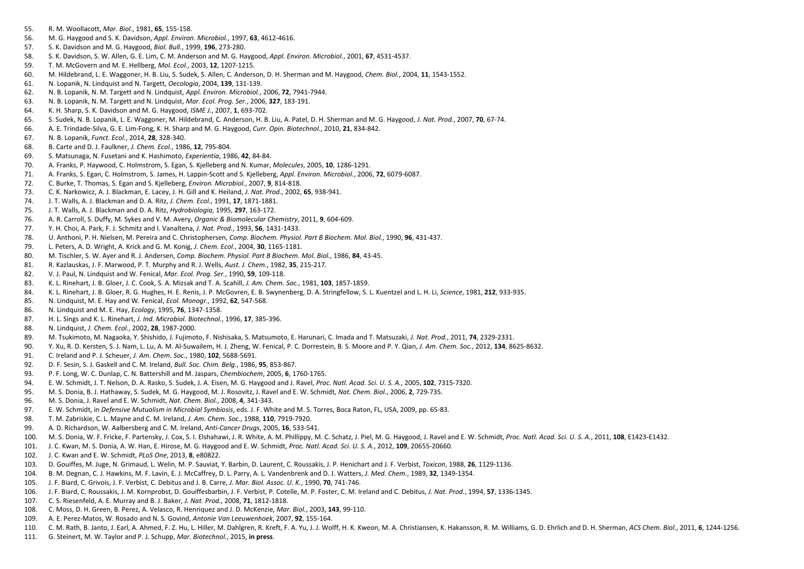- 55. R. M. Woollacott, *Mar. Biol.*, 1981, **65**, 155-158.
- 56. M. G. Haygood and S. K. Davidson, *Appl. Environ. Microbiol.*, 1997, **63**, 4612-4616.
- 57. S. K. Davidson and M. G. Haygood, *Biol. Bull.*, 1999, **196**, 273-280.
- 58. S. K. Davidson, S. W. Allen, G. E. Lim, C. M. Anderson and M. G. Haygood, *Appl. Environ. Microbiol.*, 2001, **67**, 4531-4537.
- 59. T. M. McGovern and M. E. Hellberg, *Mol. Ecol.*, 2003, **12**, 1207-1215.
- 60. M. Hildebrand, L. E. Waggoner, H. B. Liu, S. Sudek, S. Allen, C. Anderson, D. H. Sherman and M. Haygood, *Chem. Biol.*, 2004, **11**, 1543-1552.
- 61. N. Lopanik, N. Lindquist and N. Targett, *Oecologia*, 2004, **139**, 131-139.
- 62. N. B. Lopanik, N. M. Targett and N. Lindquist, *Appl. Environ. Microbiol.*, 2006, **72**, 7941-7944.
- 63. N. B. Lopanik, N. M. Targett and N. Lindquist, *Mar. Ecol. Prog. Ser.*, 2006, **327**, 183-191.
- 64. K. H. Sharp, S. K. Davidson and M. G. Haygood, *ISME J.*, 2007, **1**, 693-702.
- 65. S. Sudek, N. B. Lopanik, L. E. Waggoner, M. Hildebrand, C. Anderson, H. B. Liu, A. Patel, D. H. Sherman and M. G. Haygood, *J. Nat. Prod.*, 2007, **70**, 67-74.
- 66. A. E. Trindade-Silva, G. E. Lim-Fong, K. H. Sharp and M. G. Haygood, *Curr. Opin. Biotechnol.*, 2010, **21**, 834-842.
- 67. N. B. Lopanik, *Funct. Ecol.*, 2014, **28**, 328-340.
- 68. B. Carte and D. J. Faulkner, *J. Chem. Ecol.*, 1986, **12**, 795-804.
- 69. S. Matsunaga, N. Fusetani and K. Hashimoto, *Experientia*, 1986, **42**, 84-84.
- 70. A. Franks, P. Haywood, C. Holmstrom, S. Egan, S. Kjelleberg and N. Kumar, *Molecules*, 2005, **10**, 1286-1291.
- 71. A. Franks, S. Egan, C. Holmstrom, S. James, H. Lappin-Scott and S. Kjelleberg, *Appl. Environ. Microbiol.*, 2006, **72**, 6079-6087.
- 72. C. Burke, T. Thomas, S. Egan and S. Kjelleberg, *Environ. Microbiol.*, 2007, **9**, 814-818.
- 73. C. K. Narkowicz, A. J. Blackman, E. Lacey, J. H. Gill and K. Heiland, *J. Nat. Prod.*, 2002, **65**, 938-941.
- 74. J. T. Walls, A. J. Blackman and D. A. Ritz, *J. Chem. Ecol.*, 1991, **17**, 1871-1881.
- 75. J. T. Walls, A. J. Blackman and D. A. Ritz, *Hydrobiologia*, 1995, **297**, 163-172.
- 76. A. R. Carroll, S. Duffy, M. Sykes and V. M. Avery, *Organic & Biomolecular Chemistry*, 2011, **9**, 604-609.
- 77. Y. H. Choi, A. Park, F. J. Schmitz and I. Vanaltena, *J. Nat. Prod.*, 1993, **56**, 1431-1433.
- 78. U. Anthoni, P. H. Nielsen, M. Pereira and C. Christophersen, *Comp. Biochem. Physiol. Part B Biochem. Mol. Biol.*, 1990, **96**, 431-437.
- 79. L. Peters, A. D. Wright, A. Krick and G. M. Konig, *J. Chem. Ecol.*, 2004, **30**, 1165-1181.
- 80. M. Tischler, S. W. Ayer and R. J. Andersen, *Comp. Biochem. Physiol. Part B Biochem. Mol. Biol.*, 1986, **84**, 43-45.
- 81. R. Kazlauskas, J. F. Marwood, P. T. Murphy and R. J. Wells, *Aust. J. Chem.*, 1982, **35**, 215-217.
- 82. V. J. Paul, N. Lindquist and W. Fenical, *Mar. Ecol. Prog. Ser.*, 1990, **59**, 109-118.
- 83. K. L. Rinehart, J. B. Gloer, J. C. Cook, S. A. Mizsak and T. A. Scahill, *J. Am. Chem. Soc.*, 1981, **103**, 1857-1859.
- 84. K. L. Rinehart, J. B. Gloer, R. G. Hughes, H. E. Renis, J. P. McGovren, E. B. Swynenberg, D. A. Stringfellow, S. L. Kuentzel and L. H. Li, *Science*, 1981, **212**, 933-935.
- 85. N. Lindquist, M. E. Hay and W. Fenical, *Ecol. Monogr.*, 1992, **62**, 547-568.
- 86. N. Lindquist and M. E. Hay, *Ecology*, 1995, **76**, 1347-1358.
- 87. H. L. Sings and K. L. Rinehart, *J. Ind. Microbiol. Biotechnol.*, 1996, **17**, 385-396.
- 88. N. Lindquist, *J. Chem. Ecol.*, 2002, **28**, 1987-2000.
- 89. M. Tsukimoto, M. Nagaoka, Y. Shishido, J. Fujimoto, F. Nishisaka, S. Matsumoto, E. Harunari, C. Imada and T. Matsuzaki, *J. Nat. Prod.*, 2011, **74**, 2329-2331.
- 90. Y. Xu, R. D. Kersten, S. J. Nam, L. Lu, A. M. Al-Suwailem, H. J. Zheng, W. Fenical, P. C. Dorrestein, B. S. Moore and P. Y. Qian, *J. Am. Chem. Soc.*, 2012, **134**, 8625-8632.
- 91. C. Ireland and P. J. Scheuer, *J. Am. Chem. Soc.*, 1980, **102**, 5688-5691.
- 92. D. F. Sesin, S. J. Gaskell and C. M. Ireland, *Bull. Soc. Chim. Belg.*, 1986, **95**, 853-867.
- 93. P. F. Long, W. C. Dunlap, C. N. Battershill and M. Jaspars, *Chembiochem*, 2005, **6**, 1760-1765.
- 94. E. W. Schmidt, J. T. Nelson, D. A. Rasko, S. Sudek, J. A. Eisen, M. G. Haygood and J. Ravel, *Proc. Natl. Acad. Sci. U. S. A.*, 2005, **102**, 7315-7320.
- 95. M. S. Donia, B. J. Hathaway, S. Sudek, M. G. Haygood, M. J. Rosovitz, J. Ravel and E. W. Schmidt, *Nat. Chem. Biol.*, 2006, **2**, 729-735.
- 96. M. S. Donia, J. Ravel and E. W. Schmidt, *Nat. Chem. Biol.*, 2008, **4**, 341-343.
- 97. E. W. Schmidt, in *Defensive Mutualism in Microbial Symbiosis*, eds. J. F. White and M. S. Torres, Boca Raton, FL, USA, 2009, pp. 65-83.
- 98. T. M. Zabriskie, C. L. Mayne and C. M. Ireland, *J. Am. Chem. Soc.*, 1988, **110**, 7919-7920.
- 99. A. D. Richardson, W. Aalbersberg and C. M. Ireland, *Anti-Cancer Drugs*, 2005, **16**, 533-541.
- 100. M. S. Donia, W. F. Fricke, F. Partensky, J. Cox, S. I. Elshahawi, J. R. White, A. M. Phillippy, M. C. Schatz, J. Piel, M. G. Haygood, J. Ravel and E. W. Schmidt, Proc. Natl. Acad. Sci. U. S. A., 2011, 108, E1423-E1432
- 101. J. C. Kwan, M. S. Donia, A. W. Han, E. Hirose, M. G. Haygood and E. W. Schmidt, *Proc. Natl. Acad. Sci. U. S. A.*, 2012, **109**, 20655-20660.
- 102. J. C. Kwan and E. W. Schmidt, *PLoS One*, 2013, **8**, e80822.
- 103. D. Gouiffes, M. Juge, N. Grimaud, L. Welin, M. P. Sauviat, Y. Barbin, D. Laurent, C. Roussakis, J. P. Henichart and J. F. Verbist, *Toxicon*, 1988, **26**, 1129-1136.
- 104. B. M. Degnan, C. J. Hawkins, M. F. Lavin, E. J. McCaffrey, D. L. Parry, A. L. Vandenbrenk and D. J. Watters, *J. Med. Chem.*, 1989, **32**, 1349-1354.
- 105. J. F. Biard, C. Grivois, J. F. Verbist, C. Debitus and J. B. Carre, *J. Mar. Biol. Assoc. U. K.*, 1990, **70**, 741-746.
- 106. J. F. Biard, C. Roussakis, J. M. Kornprobst, D. Gouiffesbarbin, J. F. Verbist, P. Cotelle, M. P. Foster, C. M. Ireland and C. Debitus, *J. Nat. Prod.*, 1994, **57**, 1336-1345.
- 107. C. S. Riesenfeld, A. E. Murray and B. J. Baker, *J. Nat. Prod.*, 2008, **71**, 1812-1818.
- 108. C. Moss, D. H. Green, B. Perez, A. Velasco, R. Henriquez and J. D. McKenzie, *Mar. Biol.*, 2003, **143**, 99-110.
- 109. A. E. Perez-Matos, W. Rosado and N. S. Govind, *Antonie Van Leeuwenhoek*, 2007, **92**, 155-164.
- 110. C. M. Rath, B. Janto, J. Earl, A. Ahmed, F. Z. Hu, L. Hiller, M. Dahlgren, R. Kreft, F. A. Yu, J. J. Wolff, H. K. Kweon, M. A. Christiansen, K. Hakansson, R. M. Williams, G. D. Ehrlich and D. H. Sherman, ACS Chem. Bio
- 111. G. Steinert, M. W. Taylor and P. J. Schupp, *Mar. Biotechnol.*, 2015, **in press**.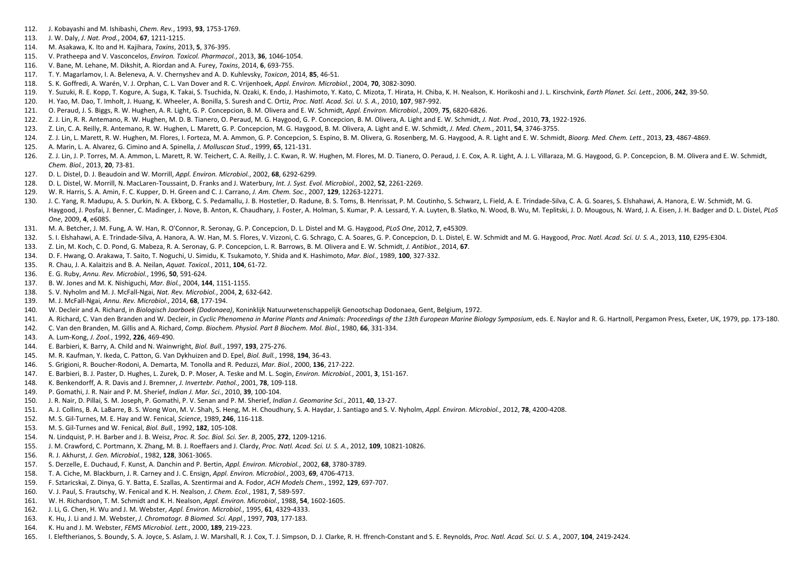- 112. J. Kobayashi and M. Ishibashi, *Chem. Rev.*, 1993, **93**, 1753-1769.
- 113. J. W. Daly, *J. Nat. Prod.*, 2004, **67**, 1211-1215.
- 114. M. Asakawa, K. Ito and H. Kajihara, *Toxins*, 2013, **5**, 376-395.
- 115. V. Pratheepa and V. Vasconcelos, *Environ. Toxicol. Pharmacol.*, 2013, **36**, 1046-1054.
- 116. V. Bane, M. Lehane, M. Dikshit, A. Riordan and A. Furey, *Toxins*, 2014, **6**, 693-755.
- 117. T. Y. Magarlamov, I. A. Beleneva, A. V. Chernyshev and A. D. Kuhlevsky, *Toxicon*, 2014, **85**, 46-51.
- 118. S. K. Goffredi, A. Warén, V. J. Orphan, C. L. Van Dover and R. C. Vrijenhoek, *Appl. Environ. Microbiol.*, 2004, **70**, 3082-3090.
- 119. Y. Suzuki, R. E. Kopp, T. Kogure, A. Suga, K. Takai, S. Tsuchida, N. Ozaki, K. Endo, J. Hashimoto, Y. Kato, C. Mizota, T. Hirata, H. Chiba, K. H. Nealson, K. Horikoshi and J. L. Kirschvink, Earth Planet. Sci. Lett., 2
- 120. H. Yao, M. Dao, T. Imholt, J. Huang, K. Wheeler, A. Bonilla, S. Suresh and C. Ortiz, *Proc. Natl. Acad. Sci. U. S. A.*, 2010, **107**, 987-992.
- 121. O. Peraud, J. S. Biggs, R. W. Hughen, A. R. Light, G. P. Concepcion, B. M. Olivera and E. W. Schmidt, *Appl. Environ. Microbiol.*, 2009, **75**, 6820-6826.
- 122. Z. J. Lin, R. R. Antemano, R. W. Hughen, M. D. B. Tianero, O. Peraud, M. G. Haygood, G. P. Concepcion, B. M. Olivera, A. Light and E. W. Schmidt, *J. Nat. Prod.*, 2010, **73**, 1922-1926.
- 123. Z. Lin, C. A. Reilly, R. Antemano, R. W. Hughen, L. Marett, G. P. Concepcion, M. G. Haygood, B. M. Olivera, A. Light and E. W. Schmidt, *J. Med. Chem.*, 2011, **54**, 3746-3755.
- 124. Z. J. Lin, L. Marett, R. W. Hughen, M. Flores, I. Forteza, M. A. Ammon, G. P. Concepcion, S. Espino, B. M. Olivera, G. Rosenberg, M. G. Haygood, A. R. Light and E. W. Schmidt, Bioorg. Med. Chem. Lett., 2013, 23, 4867-
- 125. A. Marin, L. A. Alvarez, G. Cimino and A. Spinella, *J. Molluscan Stud.*, 1999, **65**, 121-131.
- 126. Z. J. Lin, J. P. Torres, M. A. Ammon, L. Marett, R. W. Teichert, C. A. Reilly, J. C. Kwan, R. W. Hughen, M. Flores, M. D. Tianero, O. Peraud, J. E. Cox, A. R. Light, A. J. L. Villaraza, M. G. Haygood, G. P. Concepcion *Chem. Biol.*, 2013, **20**, 73-81.
- 127. D. L. Distel, D. J. Beaudoin and W. Morrill, *Appl. Environ. Microbiol.*, 2002, **68**, 6292-6299.
- 128. D. L. Distel, W. Morrill, N. MacLaren-Toussaint, D. Franks and J. Waterbury, *Int. J. Syst. Evol. Microbiol.*, 2002, **52**, 2261-2269.
- 129. W. R. Harris, S. A. Amin, F. C. Kupper, D. H. Green and C. J. Carrano, *J. Am. Chem. Soc.*, 2007, **129**, 12263-12271.
- 130. J. C. Yang, R. Madupu, A. S. Durkin, N. A. Ekborg, C. S. Pedamallu, J. B. Hostetler, D. Radune, B. S. Toms, B. Henrissat, P. M. Coutinho, S. Schwarz, L. Field, A. E. Trindade-Silva, C. A. G. Soares, S. Elshahawi, A. H Haygood, J. Posfai, J. Benner, C. Madinger, J. Nove, B. Anton, K. Chaudhary, J. Foster, A. Holman, S. Kumar, P. A. Lessard, Y. A. Luyten, B. Slatko, N. Wood, B. Wu, M. Teplitski, J. D. Mougous, N. Ward, J. A. Eisen, J. H. *One*, 2009, **4**, e6085.
- 131. M. A. Betcher, J. M. Fung, A. W. Han, R. O'Connor, R. Seronay, G. P. Concepcion, D. L. Distel and M. G. Haygood, *PLoS One*, 2012, **7**, e45309.
- 132. S. I. Elshahawi, A. E. Trindade-Silva, A. Hanora, A. W. Han, M. S. Flores, V. Vizzoni, C. G. Schrago, C. A. Soares, G. P. Concepcion, D. L. Distel, E. W. Schmidt and M. G. Haygood, Proc. Natl. Acad. Sci. U. S. A., 201
- 133. Z. Lin, M. Koch, C. D. Pond, G. Mabeza, R. A. Seronay, G. P. Concepcion, L. R. Barrows, B. M. Olivera and E. W. Schmidt, *J. Antibiot.*, 2014, **67**.
- 134. D. F. Hwang, O. Arakawa, T. Saito, T. Noguchi, U. Simidu, K. Tsukamoto, Y. Shida and K. Hashimoto, *Mar. Biol.*, 1989, **100**, 327-332.
- 135. R. Chau, J. A. Kalaitzis and B. A. Neilan, *Aquat. Toxicol.*, 2011, **104**, 61-72.
- 136. E. G. Ruby, *Annu. Rev. Microbiol.*, 1996, **50**, 591-624.
- 137. B. W. Jones and M. K. Nishiguchi, *Mar. Biol.*, 2004, **144**, 1151-1155.
- 138. S. V. Nyholm and M. J. McFall-Ngai, *Nat. Rev. Microbiol.*, 2004, **2**, 632-642.
- 139. M. J. McFall-Ngai, *Annu. Rev. Microbiol.*, 2014, **68**, 177-194.
- 140. W. Decleir and A. Richard, in *Biologisch Jaarboek (Dodonaea)*, Koninklijk Natuurwetenschappelijk Genootschap Dodonaea, Gent, Belgium, 1972.
- 141. A. Richard, C. Van den Branden and W. Decleir, in Cyclic Phenomena in Marine Plants and Animals: Proceedings of the 13th European Marine Biology Symposium, eds. E. Naylor and R. G. Hartnoll, Pergamon Press, Exeter, UK
- 142. C. Van den Branden, M. Gillis and A. Richard, *Comp. Biochem. Physiol. Part B Biochem. Mol. Biol.*, 1980, **66**, 331-334.
- 143. A. Lum-Kong, *J. Zool.*, 1992, **226**, 469-490.
- 144. E. Barbieri, K. Barry, A. Child and N. Wainwright, *Biol. Bull.*, 1997, **193**, 275-276.
- 145. M. R. Kaufman, Y. Ikeda, C. Patton, G. Van Dykhuizen and D. Epel, *Biol. Bull.*, 1998, **194**, 36-43.
- 146. S. Grigioni, R. Boucher-Rodoni, A. Demarta, M. Tonolla and R. Peduzzi, *Mar. Biol.*, 2000, **136**, 217-222.
- 147. E. Barbieri, B. J. Paster, D. Hughes, L. Zurek, D. P. Moser, A. Teske and M. L. Sogin, *Environ. Microbiol.*, 2001, **3**, 151-167.
- 148. K. Benkendorff, A. R. Davis and J. Bremner, *J. Invertebr. Pathol.*, 2001, **78**, 109-118.
- 149. P. Gomathi, J. R. Nair and P. M. Sherief, *Indian J. Mar. Sci.*, 2010, **39**, 100-104.
- 150. J. R. Nair, D. Pillai, S. M. Joseph, P. Gomathi, P. V. Senan and P. M. Sherief, *Indian J. Geomarine Sci.*, 2011, **40**, 13-27.
- 151. A. J. Collins, B. A. LaBarre, B. S. Wong Won, M. V. Shah, S. Heng, M. H. Choudhury, S. A. Haydar, J. Santiago and S. V. Nyholm, *Appl. Environ. Microbiol.*, 2012, **78**, 4200-4208.
- 152. M. S. Gil-Turnes, M. E. Hay and W. Fenical, *Science*, 1989, **246**, 116-118.
- 153. M. S. Gil-Turnes and W. Fenical, *Biol. Bull.*, 1992, **182**, 105-108.
- 154. N. Lindquist, P. H. Barber and J. B. Weisz, *Proc. R. Soc. Biol. Sci. Ser. B*, 2005, **272**, 1209-1216.
- 155. J. M. Crawford, C. Portmann, X. Zhang, M. B. J. Roeffaers and J. Clardy, *Proc. Natl. Acad. Sci. U. S. A.*, 2012, **109**, 10821-10826.
- 156. R. J. Akhurst, *J. Gen. Microbiol.*, 1982, **128**, 3061-3065.
- 157. S. Derzelle, E. Duchaud, F. Kunst, A. Danchin and P. Bertin, *Appl. Environ. Microbiol.*, 2002, **68**, 3780-3789.
- 158. T. A. Ciche, M. Blackburn, J. R. Carney and J. C. Ensign, *Appl. Environ. Microbiol.*, 2003, **69**, 4706-4713.
- 159. F. Sztaricskai, Z. Dinya, G. Y. Batta, E. Szallas, A. Szentirmai and A. Fodor, *ACH Models Chem.*, 1992, **129**, 697-707.
- 160. V. J. Paul, S. Frautschy, W. Fenical and K. H. Nealson, *J. Chem. Ecol.*, 1981, **7**, 589-597.
- 161. W. H. Richardson, T. M. Schmidt and K. H. Nealson, *Appl. Environ. Microbiol.*, 1988, **54**, 1602-1605.
- 162. J. Li, G. Chen, H. Wu and J. M. Webster, *Appl. Environ. Microbiol.*, 1995, **61**, 4329-4333.
- 163. K. Hu, J. Li and J. M. Webster, *J. Chromatogr. B Biomed. Sci. Appl.*, 1997, **703**, 177-183.
- 164. K. Hu and J. M. Webster, *FEMS Microbiol. Lett.*, 2000, **189**, 219-223.
- 165. I. Eleftherianos, S. Boundy, S. A. Joyce, S. Aslam, J. W. Marshall, R. J. Cox, T. J. Simpson, D. J. Clarke, R. H. ffrench-Constant and S. E. Reynolds, Proc. Natl. Acad. Sci. U. S. A., 2007, 104, 2419-2424.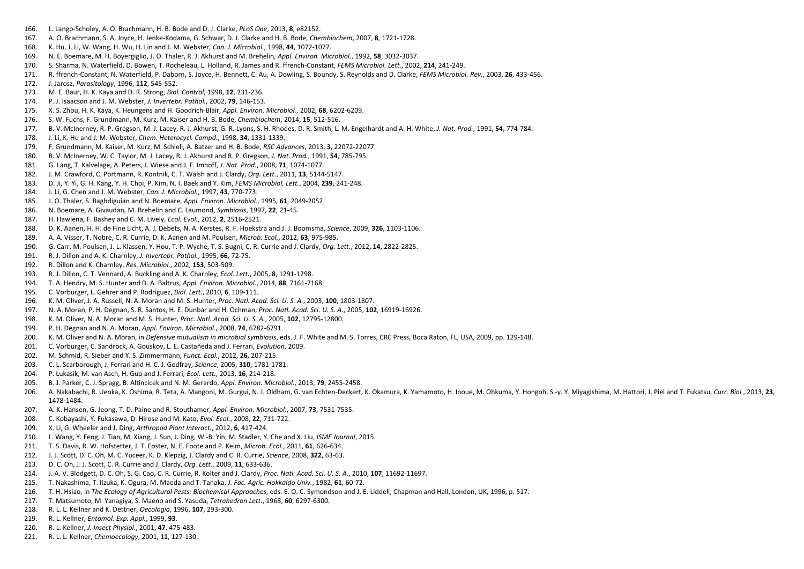- 166. L. Lango-Scholey, A. O. Brachmann, H. B. Bode and D. J. Clarke, *PLoS One*, 2013, **8**, e82152.
- 167. A. O. Brachmann, S. A. Joyce, H. Jenke-Kodama, G. Schwar, D. J. Clarke and H. B. Bode, *Chembiochem*, 2007, **8**, 1721-1728.
- 168. K. Hu, J. Li, W. Wang, H. Wu, H. Lin and J. M. Webster, *Can. J. Microbiol.*, 1998, **44**, 1072-1077.
- 169. N. E. Boemare, M. H. Boyergiglio, J. O. Thaler, R. J. Akhurst and M. Brehelin, *Appl. Environ. Microbiol.*, 1992, **58**, 3032-3037.
- 170. S. Sharma, N. Waterfield, D. Bowen, T. Rocheleau, L. Holland, R. James and R. ffrench-Constant, *FEMS Microbiol. Lett.*, 2002, **214**, 241-249.
- 171. R. ffrench-Constant, N. Waterfield, P. Daborn, S. Joyce, H. Bennett, C. Au, A. Dowling, S. Boundy, S. Reynolds and D. Clarke, *FEMS Microbiol. Rev.*, 2003, **26**, 433-456.
- 172. J. Jarosz, *Parasitology*, 1996, **112**, 545-552.
- 173. M. E. Baur, H. K. Kaya and D. R. Strong, *Biol. Control*, 1998, **12**, 231-236.
- 174. P. J. Isaacson and J. M. Webster, *J. Invertebr. Pathol.*, 2002, **79**, 146-153.
- 175. X. S. Zhou, H. K. Kaya, K. Heungens and H. Goodrich-Blair, *Appl. Environ. Microbiol.*, 2002, **68**, 6202-6209.
- 176. S. W. Fuchs, F. Grundmann, M. Kurz, M. Kaiser and H. B. Bode, *Chembiochem*, 2014, **15**, 512-516.
- 177. B. V. McInerney, R. P. Gregson, M. J. Lacey, R. J. Akhurst, G. R. Lyons, S. H. Rhodes, D. R. Smith, L. M. Engelhardt and A. H. White, *J. Nat. Prod.*, 1991, **54**, 774-784.
- 178. J. Li, K. Hu and J. M. Webster, *Chem. Heterocycl. Compd.*, 1998, **34**, 1331-1339.
- 179. F. Grundmann, M. Kaiser, M. Kurz, M. Schiell, A. Batzer and H. B. Bode, *RSC Advances*, 2013, **3**, 22072-22077.
- 180. B. V. McInerney, W. C. Taylor, M. J. Lacey, R. J. Akhurst and R. P. Gregson, *J. Nat. Prod.*, 1991, **54**, 785-795.
- 181. G. Lang, T. Kalvelage, A. Peters, J. Wiese and J. F. Imhoff, *J. Nat. Prod.*, 2008, **71**, 1074-1077.
- 182. J. M. Crawford, C. Portmann, R. Kontnik, C. T. Walsh and J. Clardy, *Org. Lett.*, 2011, **13**, 5144-5147.
- 183. D. Ji, Y. Yi, G. H. Kang, Y. H. Choi, P. Kim, N. I. Baek and Y. Kim, *FEMS Microbiol. Lett.*, 2004, **239**, 241-248.
- 184. J. Li, G. Chen and J. M. Webster, *Can. J. Microbiol.*, 1997, **43**, 770-773.
- 185. J. O. Thaler, S. Baghdiguian and N. Boemare, *Appl. Environ. Microbiol.*, 1995, **61**, 2049-2052.
- 186. N. Boemare, A. Givaudan, M. Brehelin and C. Laumond, *Symbiosis*, 1997, **22**, 21-45.
- 187. H. Hawlena, F. Bashey and C. M. Lively, *Ecol. Evol.*, 2012, **2**, 2516-2521.
- 188. D. K. Aanen, H. H. de Fine Licht, A. J. Debets, N. A. Kerstes, R. F. Hoekstra and J. J. Boomsma, *Science*, 2009, **326**, 1103-1106.
- 189. A. A. Visser, T. Nobre, C. R. Currie, D. K. Aanen and M. Poulsen, *Microb. Ecol.*, 2012, **63**, 975-985.
- 190. G. Carr, M. Poulsen, J. L. Klassen, Y. Hou, T. P. Wyche, T. S. Bugni, C. R. Currie and J. Clardy, *Org. Lett.*, 2012, **14**, 2822-2825.
- 191. R. J. Dillon and A. K. Charnley, *J. Invertebr. Pathol.*, 1995, **66**, 72-75.
- 192. R. Dillon and K. Charnley, *Res. Microbiol.*, 2002, **153**, 503-509.
- 193. R. J. Dillon, C. T. Vennard, A. Buckling and A. K. Charnley, *Ecol. Lett.*, 2005, **8**, 1291-1298.
- 194. T. A. Hendry, M. S. Hunter and D. A. Baltrus, *Appl. Environ. Microbiol.*, 2014, **88**, 7161-7168.
- 195. C. Vorburger, L. Gehrer and P. Rodriguez, *Biol. Lett.*, 2010, **6**, 109-111.
- 196. K. M. Oliver, J. A. Russell, N. A. Moran and M. S. Hunter, *Proc. Natl. Acad. Sci. U. S. A.*, 2003, **100**, 1803-1807.
- 197. N. A. Moran, P. H. Degnan, S. R. Santos, H. E. Dunbar and H. Ochman, *Proc. Natl. Acad. Sci. U. S. A.*, 2005, **102**, 16919-16926.
- 198. K. M. Oliver, N. A. Moran and M. S. Hunter, *Proc. Natl. Acad. Sci. U. S. A.*, 2005, **102**, 12795-12800.
- 199. P. H. Degnan and N. A. Moran, *Appl. Environ. Microbiol.*, 2008, **74**, 6782-6791.
- 200. K. M. Oliver and N. A. Moran, in *Defensive mutualism in microbial symbiosis*, eds. J. F. White and M. S. Torres, CRC Press, Boca Raton, FL, USA, 2009, pp. 129-148.
- 201. C. Vorburger, C. Sandrock, A. Gouskov, L. E. Castañeda and J. Ferrari, *Evolution*, 2009.
- 202. M. Schmid, R. Sieber and Y. S. Zimmermann, *Funct. Ecol.*, 2012, **26**, 207-215.
- 203. C. L. Scarborough, J. Ferrari and H. C. J. Godfray, *Science*, 2005, **310**, 1781-1781.
- 204. P. Łukasik, M. van Asch, H. Guo and J. Ferrari, *Ecol. Lett.*, 2013, **16**, 214-218.
- 205. B. J. Parker, C. J. Spragg, B. Altincicek and N. M. Gerardo, *Appl. Environ. Microbiol.*, 2013, **79**, 2455-2458.
- 206. A. Nakabachi, R. Ueoka, K. Oshima, R. Teta, A. Mangoni, M. Gurgui, N. J. Oldham, G. van Echten-Deckert, K. Okamura, K. Yamamoto, H. Inoue, M. Ohkuma, Y. Hongoh, S.-y. Y. Miyagishima, M. Hattori, J. Piel and T. Fukatsu 1478-1484.
- 207. A. K. Hansen, G. Jeong, T. D. Paine and R. Stouthamer, *Appl. Environ. Microbiol.*, 2007, **73**, 7531-7535.
- 208. C. Kobayashi, Y. Fukasawa, D. Hirose and M. Kato, *Evol. Ecol.*, 2008, **22**, 711-722.
- 209. X. Li, G. Wheeler and J. Ding, *Arthropod Plant Interact.*, 2012, **6**, 417-424.
- 210. L. Wang, Y. Feng, J. Tian, M. Xiang, J. Sun, J. Ding, W.-B. Yin, M. Stadler, Y. Che and X. Liu, *ISME Journal*, 2015.
- 211. T. S. Davis, R. W. Hofstetter, J. T. Foster, N. E. Foote and P. Keim, *Microb. Ecol.*, 2011, **61**, 626-634.
- 212. J. J. Scott, D. C. Oh, M. C. Yuceer, K. D. Klepzig, J. Clardy and C. R. Currie, *Science*, 2008, **322**, 63-63.
- 213. D. C. Oh, J. J. Scott, C. R. Currie and J. Clardy, *Org. Lett.*, 2009, **11**, 633-636.
- 214. J. A. V. Blodgett, D. C. Oh, S. G. Cao, C. R. Currie, R. Kolter and J. Clardy, *Proc. Natl. Acad. Sci. U. S. A.*, 2010, **107**, 11692-11697.
- 215. T. Nakashima, T. Iizuka, K. Ogura, M. Maeda and T. Tanaka, *J. Fac. Agric. Hokkaido Univ.*, 1982, **61**, 60-72.
- 216. T. H. Hsiao, in *The Ecology of Agricultural Pests: Biochemical Approaches*, eds. E. O. C. Symondson and J. E. Liddell, Chapman and Hall, London, UK, 1996, p. 517.
- 217. T. Matsumoto, M. Yanagiya, S. Maeno and S. Yasuda, *Tetrahedron Lett.*, 1968, **60**, 6297-6300.
- 218. R. L. L. Kellner and K. Dettner, *Oecologia*, 1996, **107**, 293-300.
- 219. R. L. Kellner, *Entomol. Exp. Appl.*, 1999, **93**.
- 220. R. L. Kellner, *J. Insect Physiol.*, 2001, **47**, 475-483.
- 221. R. L. L. Kellner, *Chemoecology*, 2001, **11**, 127-130.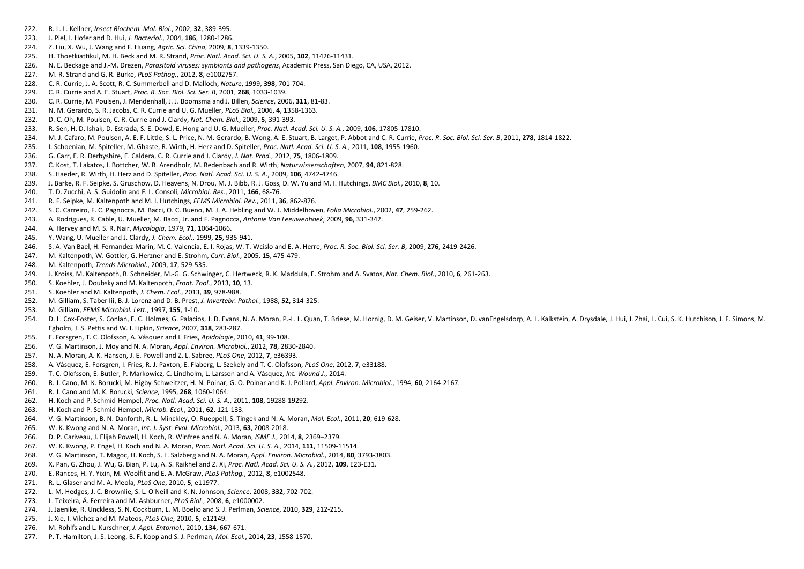- 222. R. L. L. Kellner, *Insect Biochem. Mol. Biol.*, 2002, **32**, 389-395.
- 223. J. Piel, I. Hofer and D. Hui, *J. Bacteriol.*, 2004, **186**, 1280-1286.
- 224. Z. Liu, X. Wu, J. Wang and F. Huang, *Agric. Sci. China*, 2009, **8**, 1339-1350.
- 225. H. Thoetkiattikul, M. H. Beck and M. R. Strand, *Proc. Natl. Acad. Sci. U. S. A.*, 2005, **102**, 11426-11431.
- 226. N. E. Beckage and J.-M. Drezen, *Parasitoid viruses: symbionts and pathogens*, Academic Press, San Diego, CA, USA, 2012.
- 227. M. R. Strand and G. R. Burke, *PLoS Pathog.*, 2012, **8**, e1002757.
- 228. C. R. Currie, J. A. Scott, R. C. Summerbell and D. Malloch, *Nature*, 1999, **398**, 701-704.
- 229. C. R. Currie and A. E. Stuart, *Proc. R. Soc. Biol. Sci. Ser. B*, 2001, **268**, 1033-1039.
- 230. C. R. Currie, M. Poulsen, J. Mendenhall, J. J. Boomsma and J. Billen, *Science*, 2006, **311**, 81-83.
- 231. N. M. Gerardo, S. R. Jacobs, C. R. Currie and U. G. Mueller, *PLoS Biol.*, 2006, **4**, 1358-1363.
- 232. D. C. Oh, M. Poulsen, C. R. Currie and J. Clardy, *Nat. Chem. Biol.*, 2009, **5**, 391-393.
- 233. R. Sen, H. D. Ishak, D. Estrada, S. E. Dowd, E. Hong and U. G. Mueller, *Proc. Natl. Acad. Sci. U. S. A.*, 2009, **106**, 17805-17810.
- 234. M. J. Cafaro, M. Poulsen, A. E. F. Little, S. L. Price, N. M. Gerardo, B. Wong, A. E. Stuart, B. Larget, P. Abbot and C. R. Currie, Proc. R. Soc. Biol. Sci. Ser. B, 2011, 278, 1814-1822.
- 235. I. Schoenian, M. Spiteller, M. Ghaste, R. Wirth, H. Herz and D. Spiteller, *Proc. Natl. Acad. Sci. U. S. A.*, 2011, **108**, 1955-1960.
- 236. G. Carr, E. R. Derbyshire, E. Caldera, C. R. Currie and J. Clardy, *J. Nat. Prod.*, 2012, **75**, 1806-1809.
- 237. C. Kost, T. Lakatos, I. Bottcher, W. R. Arendholz, M. Redenbach and R. Wirth, *Naturwissenschaften*, 2007, **94**, 821-828.
- 238. S. Haeder, R. Wirth, H. Herz and D. Spiteller, *Proc. Natl. Acad. Sci. U. S. A.*, 2009, **106**, 4742-4746.
- 239. J. Barke, R. F. Seipke, S. Gruschow, D. Heavens, N. Drou, M. J. Bibb, R. J. Goss, D. W. Yu and M. I. Hutchings, *BMC Biol.*, 2010, **8**, 10.
- 240. T. D. Zucchi, A. S. Guidolin and F. L. Consoli, *Microbiol. Res.*, 2011, **166**, 68-76.
- 241. R. F. Seipke, M. Kaltenpoth and M. I. Hutchings, *FEMS Microbiol. Rev.*, 2011, **36**, 862-876.
- 242. S. C. Carreiro, F. C. Pagnocca, M. Bacci, O. C. Bueno, M. J. A. Hebling and W. J. Middelhoven, *Folia Microbiol.*, 2002, **47**, 259-262.
- 243. A. Rodrigues, R. Cable, U. Mueller, M. Bacci, Jr. and F. Pagnocca, *Antonie Van Leeuwenhoek*, 2009, **96**, 331-342.
- 244. A. Hervey and M. S. R. Nair, *Mycologia*, 1979, **71**, 1064-1066.
- 245. Y. Wang, U. Mueller and J. Clardy, *J. Chem. Ecol.*, 1999, **25**, 935-941.
- 246. S. A. Van Bael, H. Fernandez-Marin, M. C. Valencia, E. I. Rojas, W. T. Wcislo and E. A. Herre, *Proc. R. Soc. Biol. Sci. Ser. B*, 2009, **276**, 2419-2426.
- 247. M. Kaltenpoth, W. Gottler, G. Herzner and E. Strohm, *Curr. Biol.*, 2005, **15**, 475-479.
- 248. M. Kaltenpoth, *Trends Microbiol.*, 2009, **17**, 529-535.
- 249. J. Kroiss, M. Kaltenpoth, B. Schneider, M.-G. G. Schwinger, C. Hertweck, R. K. Maddula, E. Strohm and A. Svatos, *Nat. Chem. Biol.*, 2010, **6**, 261-263.
- 250. S. Koehler, J. Doubsky and M. Kaltenpoth, *Front. Zool.*, 2013, **10**, 13.
- 251. S. Koehler and M. Kaltenpoth, *J. Chem. Ecol.*, 2013, **39**, 978-988.
- 252. M. Gilliam, S. Taber Iii, B. J. Lorenz and D. B. Prest, *J. Invertebr. Pathol.*, 1988, **52**, 314-325.
- 253. M. Gilliam, *FEMS Microbiol. Lett.*, 1997, **155**, 1-10.
- 254. D. L. Cox-Foster, S. Conlan, E. C. Holmes, G. Palacios, J. D. Evans, N. A. Moran, P.-L. L. Quan, T. Briese, M. Hornig, D. M. Geiser, V. Martinson, D. vanEngelsdorp, A. L. Kalkstein, A. Drysdale, J. Hui, J. Zhai, L. Cu Egholm, J. S. Pettis and W. I. Lipkin, *Science*, 2007, **318**, 283-287.
- 255. E. Forsgren, T. C. Olofsson, A. Vásquez and I. Fries, *Apidologie*, 2010, **41**, 99-108.
- 256. V. G. Martinson, J. Moy and N. A. Moran, *Appl. Environ. Microbiol.*, 2012, **78**, 2830-2840.
- 257. N. A. Moran, A. K. Hansen, J. E. Powell and Z. L. Sabree, *PLoS One*, 2012, **7**, e36393.
- 258. A. Vásquez, E. Forsgren, I. Fries, R. J. Paxton, E. Flaberg, L. Szekely and T. C. Olofsson, *PLoS One*, 2012, **7**, e33188.
- 259. T. C. Olofsson, E. Butler, P. Markowicz, C. Lindholm, L. Larsson and A. Vásquez, *Int. Wound J.*, 2014.
- 260. R. J. Cano, M. K. Borucki, M. Higby-Schweitzer, H. N. Poinar, G. O. Poinar and K. J. Pollard, *Appl. Environ. Microbiol.*, 1994, **60**, 2164-2167.
- 261. R. J. Cano and M. K. Borucki, *Science*, 1995, **268**, 1060-1064.
- 262. H. Koch and P. Schmid-Hempel, *Proc. Natl. Acad. Sci. U. S. A.*, 2011, **108**, 19288-19292.
- 263. H. Koch and P. Schmid-Hempel, *Microb. Ecol.*, 2011, **62**, 121-133.
- 264. V. G. Martinson, B. N. Danforth, R. L. Minckley, O. Rueppell, S. Tingek and N. A. Moran, *Mol. Ecol.*, 2011, **20**, 619-628.
- 265. W. K. Kwong and N. A. Moran, *Int. J. Syst. Evol. Microbiol.*, 2013, **63**, 2008-2018.
- 266. D. P. Cariveau, J. Elijah Powell, H. Koch, R. Winfree and N. A. Moran, *ISME J.*, 2014, **8**, 2369–2379.
- 267. W. K. Kwong, P. Engel, H. Koch and N. A. Moran, *Proc. Natl. Acad. Sci. U. S. A.*, 2014, **111**, 11509-11514.
- 268. V. G. Martinson, T. Magoc, H. Koch, S. L. Salzberg and N. A. Moran, *Appl. Environ. Microbiol.*, 2014, **80**, 3793-3803.
- 269. X. Pan, G. Zhou, J. Wu, G. Bian, P. Lu, A. S. Raikhel and Z. Xi, *Proc. Natl. Acad. Sci. U. S. A.*, 2012, **109**, E23-E31.
- 270. E. Rances, H. Y. Yixin, M. Woolfit and E. A. McGraw, *PLoS Pathog.*, 2012, **8**, e1002548.
- 271. R. L. Glaser and M. A. Meola, *PLoS One*, 2010, **5**, e11977.
- 272. L. M. Hedges, J. C. Brownlie, S. L. O'Neill and K. N. Johnson, *Science*, 2008, **332**, 702-702.
- 273. L. Teixeira, Á. Ferreira and M. Ashburner, *PLoS Biol.*, 2008, **6**, e1000002.
- 274. J. Jaenike, R. Unckless, S. N. Cockburn, L. M. Boelio and S. J. Perlman, *Science*, 2010, **329**, 212-215.
- 275. J. Xie, I. Vilchez and M. Mateos, *PLoS One*, 2010, **5**, e12149.
- 276. M. Rohlfs and L. Kurschner, *J. Appl. Entomol.*, 2010, **134**, 667-671.
- 277. P. T. Hamilton, J. S. Leong, B. F. Koop and S. J. Perlman, *Mol. Ecol.*, 2014, **23**, 1558-1570.